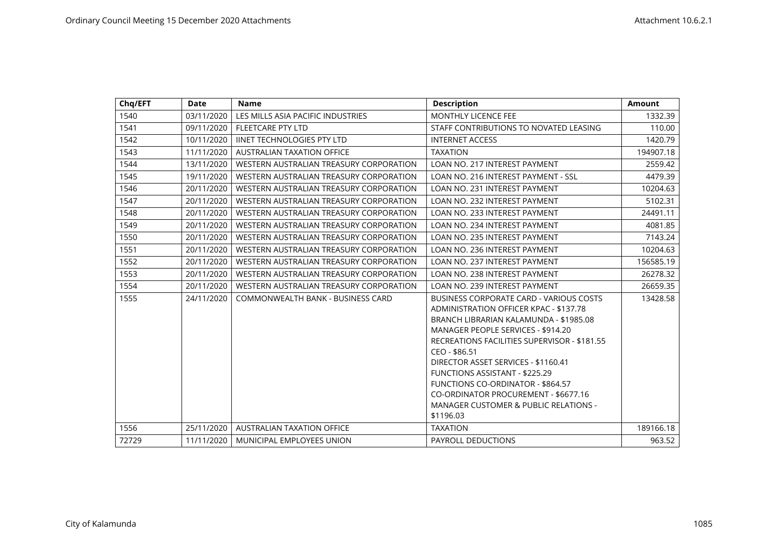| Chq/EFT | <b>Date</b> | <b>Name</b>                              | <b>Description</b>                                                                                                                                                                                                                                                                      | <b>Amount</b> |
|---------|-------------|------------------------------------------|-----------------------------------------------------------------------------------------------------------------------------------------------------------------------------------------------------------------------------------------------------------------------------------------|---------------|
| 1540    | 03/11/2020  | LES MILLS ASIA PACIFIC INDUSTRIES        | <b>MONTHLY LICENCE FEE</b>                                                                                                                                                                                                                                                              | 1332.39       |
| 1541    | 09/11/2020  | FLEETCARE PTY LTD                        | STAFF CONTRIBUTIONS TO NOVATED LEASING                                                                                                                                                                                                                                                  | 110.00        |
| 1542    | 10/11/2020  | <b>IINET TECHNOLOGIES PTY LTD</b>        | <b>INTERNET ACCESS</b>                                                                                                                                                                                                                                                                  | 1420.79       |
| 1543    | 11/11/2020  | <b>AUSTRALIAN TAXATION OFFICE</b>        | <b>TAXATION</b>                                                                                                                                                                                                                                                                         | 194907.18     |
| 1544    | 13/11/2020  | WESTERN AUSTRALIAN TREASURY CORPORATION  | LOAN NO. 217 INTEREST PAYMENT                                                                                                                                                                                                                                                           | 2559.42       |
| 1545    | 19/11/2020  | WESTERN AUSTRALIAN TREASURY CORPORATION  | LOAN NO. 216 INTEREST PAYMENT - SSL                                                                                                                                                                                                                                                     | 4479.39       |
| 1546    | 20/11/2020  | WESTERN AUSTRALIAN TREASURY CORPORATION  | <b>LOAN NO. 231 INTEREST PAYMENT</b>                                                                                                                                                                                                                                                    | 10204.63      |
| 1547    | 20/11/2020  | WESTERN AUSTRALIAN TREASURY CORPORATION  | LOAN NO. 232 INTEREST PAYMENT                                                                                                                                                                                                                                                           | 5102.31       |
| 1548    | 20/11/2020  | WESTERN AUSTRALIAN TREASURY CORPORATION  | <b>LOAN NO. 233 INTEREST PAYMENT</b>                                                                                                                                                                                                                                                    | 24491.11      |
| 1549    | 20/11/2020  | WESTERN AUSTRALIAN TREASURY CORPORATION  | LOAN NO. 234 INTEREST PAYMENT                                                                                                                                                                                                                                                           | 4081.85       |
| 1550    | 20/11/2020  | WESTERN AUSTRALIAN TREASURY CORPORATION  | LOAN NO. 235 INTEREST PAYMENT                                                                                                                                                                                                                                                           | 7143.24       |
| 1551    | 20/11/2020  | WESTERN AUSTRALIAN TREASURY CORPORATION  | <b>LOAN NO. 236 INTEREST PAYMENT</b>                                                                                                                                                                                                                                                    | 10204.63      |
| 1552    | 20/11/2020  | WESTERN AUSTRALIAN TREASURY CORPORATION  | LOAN NO. 237 INTEREST PAYMENT                                                                                                                                                                                                                                                           | 156585.19     |
| 1553    | 20/11/2020  | WESTERN AUSTRALIAN TREASURY CORPORATION  | <b>LOAN NO. 238 INTEREST PAYMENT</b>                                                                                                                                                                                                                                                    | 26278.32      |
| 1554    | 20/11/2020  | WESTERN AUSTRALIAN TREASURY CORPORATION  | LOAN NO. 239 INTEREST PAYMENT                                                                                                                                                                                                                                                           | 26659.35      |
| 1555    | 24/11/2020  | <b>COMMONWEALTH BANK - BUSINESS CARD</b> | <b>BUSINESS CORPORATE CARD - VARIOUS COSTS</b><br>ADMINISTRATION OFFICER KPAC - \$137.78<br>BRANCH LIBRARIAN KALAMUNDA - \$1985.08<br>MANAGER PEOPLE SERVICES - \$914.20                                                                                                                | 13428.58      |
|         |             |                                          | RECREATIONS FACILITIES SUPERVISOR - \$181.55<br>CEO - \$86.51<br>DIRECTOR ASSET SERVICES - \$1160.41<br><b>FUNCTIONS ASSISTANT - \$225.29</b><br><b>FUNCTIONS CO-ORDINATOR - \$864.57</b><br>CO-ORDINATOR PROCUREMENT - \$6677.16<br>MANAGER CUSTOMER & PUBLIC RELATIONS -<br>\$1196.03 |               |
| 1556    | 25/11/2020  | <b>AUSTRALIAN TAXATION OFFICE</b>        | <b>TAXATION</b>                                                                                                                                                                                                                                                                         | 189166.18     |
| 72729   | 11/11/2020  | MUNICIPAL EMPLOYEES UNION                | <b>PAYROLL DEDUCTIONS</b>                                                                                                                                                                                                                                                               | 963.52        |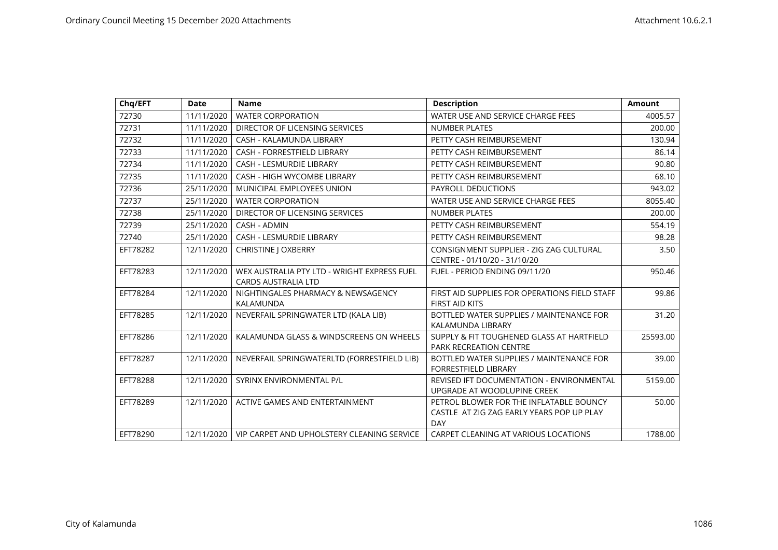| Chq/EFT  | <b>Date</b> | <b>Name</b>                                                               | <b>Description</b>                               | <b>Amount</b> |
|----------|-------------|---------------------------------------------------------------------------|--------------------------------------------------|---------------|
| 72730    | 11/11/2020  | <b>WATER CORPORATION</b>                                                  | WATER USE AND SERVICE CHARGE FEES                | 4005.57       |
| 72731    | 11/11/2020  | DIRECTOR OF LICENSING SERVICES                                            | <b>NUMBER PLATES</b>                             | 200.00        |
| 72732    | 11/11/2020  | CASH - KALAMUNDA LIBRARY                                                  | PETTY CASH REIMBURSEMENT                         | 130.94        |
| 72733    | 11/11/2020  | <b>CASH - FORRESTFIELD LIBRARY</b>                                        | PETTY CASH REIMBURSEMENT                         | 86.14         |
| 72734    | 11/11/2020  | <b>CASH - LESMURDIE LIBRARY</b>                                           | PETTY CASH REIMBURSEMENT                         | 90.80         |
| 72735    | 11/11/2020  | <b>CASH - HIGH WYCOMBE LIBRARY</b>                                        | PETTY CASH REIMBURSEMENT                         | 68.10         |
| 72736    | 25/11/2020  | MUNICIPAL EMPLOYEES UNION                                                 | PAYROLL DEDUCTIONS                               | 943.02        |
| 72737    | 25/11/2020  | <b>WATER CORPORATION</b>                                                  | WATER USE AND SERVICE CHARGE FEES                | 8055.40       |
| 72738    | 25/11/2020  | DIRECTOR OF LICENSING SERVICES                                            | <b>NUMBER PLATES</b>                             | 200.00        |
| 72739    | 25/11/2020  | <b>CASH - ADMIN</b>                                                       | PETTY CASH REIMBURSEMENT                         | 554.19        |
| 72740    | 25/11/2020  | <b>CASH - LESMURDIE LIBRARY</b>                                           | PETTY CASH REIMBURSEMENT                         | 98.28         |
| EFT78282 | 12/11/2020  | <b>CHRISTINE   OXBERRY</b>                                                | CONSIGNMENT SUPPLIER - ZIG ZAG CULTURAL          | 3.50          |
|          |             |                                                                           | CENTRE - 01/10/20 - 31/10/20                     |               |
| EFT78283 | 12/11/2020  | WEX AUSTRALIA PTY LTD - WRIGHT EXPRESS FUEL<br><b>CARDS AUSTRALIA LTD</b> | FUEL - PERIOD ENDING 09/11/20                    | 950.46        |
| EFT78284 | 12/11/2020  | NIGHTINGALES PHARMACY & NEWSAGENCY                                        | FIRST AID SUPPLIES FOR OPERATIONS FIELD STAFF    | 99.86         |
|          |             | KALAMUNDA                                                                 | <b>FIRST AID KITS</b>                            |               |
| EFT78285 | 12/11/2020  | NEVERFAIL SPRINGWATER LTD (KALA LIB)                                      | BOTTLED WATER SUPPLIES / MAINTENANCE FOR         | 31.20         |
|          |             |                                                                           | KALAMUNDA LIBRARY                                |               |
| EFT78286 | 12/11/2020  | KALAMUNDA GLASS & WINDSCREENS ON WHEELS                                   | SUPPLY & FIT TOUGHENED GLASS AT HARTFIELD        | 25593.00      |
|          |             |                                                                           | <b>PARK RECREATION CENTRE</b>                    |               |
| EFT78287 | 12/11/2020  | NEVERFAIL SPRINGWATERLTD (FORRESTFIELD LIB)                               | BOTTLED WATER SUPPLIES / MAINTENANCE FOR         | 39.00         |
|          |             |                                                                           | <b>FORRESTFIELD LIBRARY</b>                      |               |
| EFT78288 | 12/11/2020  | SYRINX ENVIRONMENTAL P/L                                                  | <b>REVISED IFT DOCUMENTATION - ENVIRONMENTAL</b> | 5159.00       |
|          |             |                                                                           | UPGRADE AT WOODLUPINE CREEK                      |               |
| EFT78289 | 12/11/2020  | ACTIVE GAMES AND ENTERTAINMENT                                            | PETROL BLOWER FOR THE INFLATABLE BOUNCY          | 50.00         |
|          |             |                                                                           | CASTLE AT ZIG ZAG EARLY YEARS POP UP PLAY        |               |
|          |             |                                                                           | <b>DAY</b>                                       |               |
| EFT78290 | 12/11/2020  | VIP CARPET AND UPHOLSTERY CLEANING SERVICE                                | CARPET CLEANING AT VARIOUS LOCATIONS             | 1788.00       |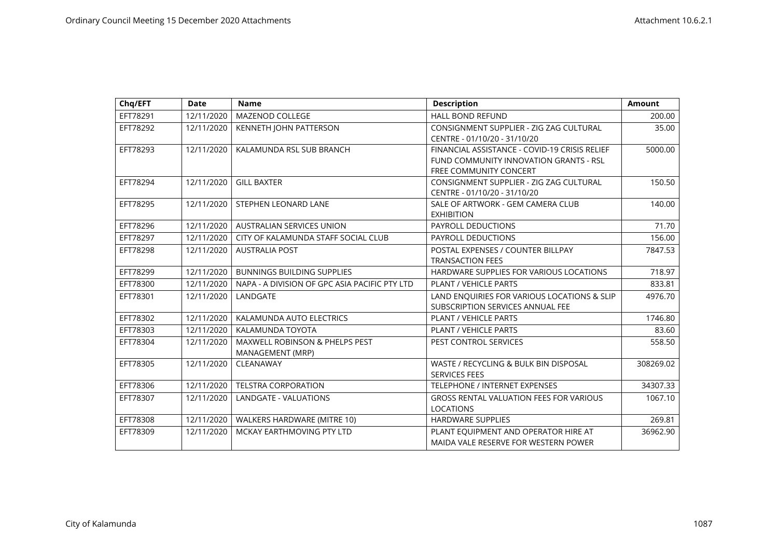| Chq/EFT  | <b>Date</b> | <b>Name</b>                                   | <b>Description</b>                             | <b>Amount</b> |
|----------|-------------|-----------------------------------------------|------------------------------------------------|---------------|
| EFT78291 | 12/11/2020  | MAZENOD COLLEGE                               | <b>HALL BOND REFUND</b>                        | 200.00        |
| EFT78292 | 12/11/2020  | KENNETH JOHN PATTERSON                        | CONSIGNMENT SUPPLIER - ZIG ZAG CULTURAL        | 35.00         |
|          |             |                                               | CENTRE - 01/10/20 - 31/10/20                   |               |
| EFT78293 | 12/11/2020  | KALAMUNDA RSL SUB BRANCH                      | FINANCIAL ASSISTANCE - COVID-19 CRISIS RELIEF  | 5000.00       |
|          |             |                                               | FUND COMMUNITY INNOVATION GRANTS - RSL         |               |
|          |             |                                               | <b>FREE COMMUNITY CONCERT</b>                  |               |
| EFT78294 | 12/11/2020  | <b>GILL BAXTER</b>                            | CONSIGNMENT SUPPLIER - ZIG ZAG CULTURAL        | 150.50        |
|          |             |                                               | CENTRE - 01/10/20 - 31/10/20                   |               |
| EFT78295 | 12/11/2020  | STEPHEN LEONARD LANE                          | SALE OF ARTWORK - GEM CAMERA CLUB              | 140.00        |
|          |             |                                               | <b>EXHIBITION</b>                              |               |
| EFT78296 | 12/11/2020  | <b>AUSTRALIAN SERVICES UNION</b>              | PAYROLL DEDUCTIONS                             | 71.70         |
| EFT78297 | 12/11/2020  | CITY OF KALAMUNDA STAFF SOCIAL CLUB           | PAYROLL DEDUCTIONS                             | 156.00        |
| EFT78298 | 12/11/2020  | <b>AUSTRALIA POST</b>                         | POSTAL EXPENSES / COUNTER BILLPAY              | 7847.53       |
|          |             |                                               | <b>TRANSACTION FEES</b>                        |               |
| EFT78299 | 12/11/2020  | <b>BUNNINGS BUILDING SUPPLIES</b>             | HARDWARE SUPPLIES FOR VARIOUS LOCATIONS        | 718.97        |
| EFT78300 | 12/11/2020  | NAPA - A DIVISION OF GPC ASIA PACIFIC PTY LTD | <b>PLANT / VEHICLE PARTS</b>                   | 833.81        |
| EFT78301 | 12/11/2020  | LANDGATE                                      | LAND ENQUIRIES FOR VARIOUS LOCATIONS & SLIP    | 4976.70       |
|          |             |                                               | SUBSCRIPTION SERVICES ANNUAL FEE               |               |
| EFT78302 | 12/11/2020  | KALAMUNDA AUTO ELECTRICS                      | PLANT / VEHICLE PARTS                          | 1746.80       |
| EFT78303 | 12/11/2020  | KALAMUNDA TOYOTA                              | <b>PLANT / VEHICLE PARTS</b>                   | 83.60         |
| EFT78304 | 12/11/2020  | <b>MAXWELL ROBINSON &amp; PHELPS PEST</b>     | PEST CONTROL SERVICES                          | 558.50        |
|          |             | MANAGEMENT (MRP)                              |                                                |               |
| EFT78305 | 12/11/2020  | CLEANAWAY                                     | WASTE / RECYCLING & BULK BIN DISPOSAL          | 308269.02     |
|          |             |                                               | <b>SERVICES FEES</b>                           |               |
| EFT78306 | 12/11/2020  | <b>TELSTRA CORPORATION</b>                    | <b>TELEPHONE / INTERNET EXPENSES</b>           | 34307.33      |
| EFT78307 | 12/11/2020  | <b>LANDGATE - VALUATIONS</b>                  | <b>GROSS RENTAL VALUATION FEES FOR VARIOUS</b> | 1067.10       |
|          |             |                                               | <b>LOCATIONS</b>                               |               |
| EFT78308 | 12/11/2020  | WALKERS HARDWARE (MITRE 10)                   | <b>HARDWARE SUPPLIES</b>                       | 269.81        |
| EFT78309 | 12/11/2020  | MCKAY EARTHMOVING PTY LTD                     | PLANT EQUIPMENT AND OPERATOR HIRE AT           | 36962.90      |
|          |             |                                               | MAIDA VALE RESERVE FOR WESTERN POWER           |               |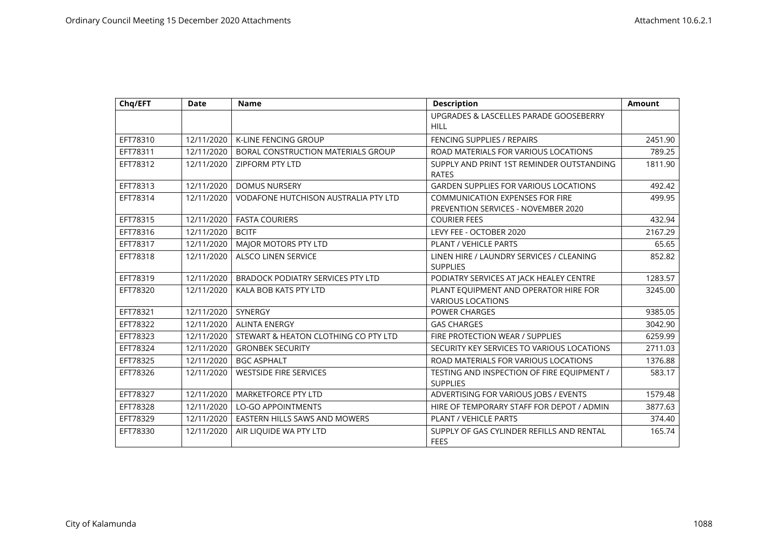| Chq/EFT  | <b>Date</b> | <b>Name</b>                                 | <b>Description</b>                                                | <b>Amount</b> |
|----------|-------------|---------------------------------------------|-------------------------------------------------------------------|---------------|
|          |             |                                             | UPGRADES & LASCELLES PARADE GOOSEBERRY                            |               |
|          |             |                                             | <b>HILL</b>                                                       |               |
| EFT78310 | 12/11/2020  | K-LINE FENCING GROUP                        | FENCING SUPPLIES / REPAIRS                                        | 2451.90       |
| EFT78311 | 12/11/2020  | BORAL CONSTRUCTION MATERIALS GROUP          | ROAD MATERIALS FOR VARIOUS LOCATIONS                              | 789.25        |
| EFT78312 | 12/11/2020  | <b>ZIPFORM PTY LTD</b>                      | SUPPLY AND PRINT 1ST REMINDER OUTSTANDING<br><b>RATES</b>         | 1811.90       |
| EFT78313 | 12/11/2020  | <b>DOMUS NURSERY</b>                        | <b>GARDEN SUPPLIES FOR VARIOUS LOCATIONS</b>                      | 492.42        |
| EFT78314 | 12/11/2020  | <b>VODAFONE HUTCHISON AUSTRALIA PTY LTD</b> | <b>COMMUNICATION EXPENSES FOR FIRE</b>                            | 499.95        |
|          |             |                                             | <b>PREVENTION SERVICES - NOVEMBER 2020</b>                        |               |
| EFT78315 | 12/11/2020  | <b>FASTA COURIERS</b>                       | <b>COURIER FEES</b>                                               | 432.94        |
| EFT78316 | 12/11/2020  | <b>BCITF</b>                                | LEVY FEE - OCTOBER 2020                                           | 2167.29       |
| EFT78317 | 12/11/2020  | <b>MAJOR MOTORS PTY LTD</b>                 | <b>PLANT / VEHICLE PARTS</b>                                      | 65.65         |
| EFT78318 | 12/11/2020  | <b>ALSCO LINEN SERVICE</b>                  | LINEN HIRE / LAUNDRY SERVICES / CLEANING<br><b>SUPPLIES</b>       | 852.82        |
| EFT78319 | 12/11/2020  | <b>BRADOCK PODIATRY SERVICES PTY LTD</b>    | PODIATRY SERVICES AT JACK HEALEY CENTRE                           | 1283.57       |
| EFT78320 | 12/11/2020  | KALA BOB KATS PTY LTD                       | PLANT EQUIPMENT AND OPERATOR HIRE FOR<br><b>VARIOUS LOCATIONS</b> | 3245.00       |
| EFT78321 | 12/11/2020  | SYNERGY                                     | <b>POWER CHARGES</b>                                              | 9385.05       |
| EFT78322 | 12/11/2020  | <b>ALINTA ENERGY</b>                        | <b>GAS CHARGES</b>                                                | 3042.90       |
| EFT78323 | 12/11/2020  | STEWART & HEATON CLOTHING CO PTY LTD        | FIRE PROTECTION WEAR / SUPPLIES                                   | 6259.99       |
| EFT78324 | 12/11/2020  | <b>GRONBEK SECURITY</b>                     | SECURITY KEY SERVICES TO VARIOUS LOCATIONS                        | 2711.03       |
| EFT78325 | 12/11/2020  | <b>BGC ASPHALT</b>                          | ROAD MATERIALS FOR VARIOUS LOCATIONS                              | 1376.88       |
| EFT78326 | 12/11/2020  | <b>WESTSIDE FIRE SERVICES</b>               | TESTING AND INSPECTION OF FIRE EQUIPMENT /<br><b>SUPPLIES</b>     | 583.17        |
| EFT78327 | 12/11/2020  | MARKETFORCE PTY LTD                         | ADVERTISING FOR VARIOUS JOBS / EVENTS                             | 1579.48       |
| EFT78328 | 12/11/2020  | <b>LO-GO APPOINTMENTS</b>                   | HIRE OF TEMPORARY STAFF FOR DEPOT / ADMIN                         | 3877.63       |
| EFT78329 | 12/11/2020  | <b>EASTERN HILLS SAWS AND MOWERS</b>        | PLANT / VEHICLE PARTS                                             | 374.40        |
| EFT78330 | 12/11/2020  | AIR LIQUIDE WA PTY LTD                      | SUPPLY OF GAS CYLINDER REFILLS AND RENTAL<br><b>FEES</b>          | 165.74        |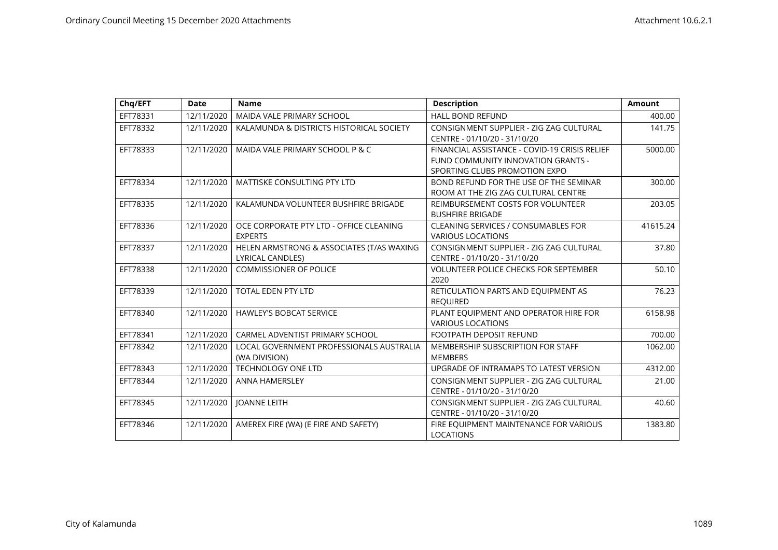| Chq/EFT  | <b>Date</b> | <b>Name</b>                                                   | <b>Description</b>                                                                                                   | <b>Amount</b> |
|----------|-------------|---------------------------------------------------------------|----------------------------------------------------------------------------------------------------------------------|---------------|
| EFT78331 | 12/11/2020  | MAIDA VALE PRIMARY SCHOOL                                     | <b>HALL BOND REFUND</b>                                                                                              | 400.00        |
| EFT78332 | 12/11/2020  | KALAMUNDA & DISTRICTS HISTORICAL SOCIETY                      | CONSIGNMENT SUPPLIER - ZIG ZAG CULTURAL<br>CENTRE - 01/10/20 - 31/10/20                                              | 141.75        |
| EFT78333 | 12/11/2020  | MAIDA VALE PRIMARY SCHOOL P & C                               | FINANCIAL ASSISTANCE - COVID-19 CRISIS RELIEF<br>FUND COMMUNITY INNOVATION GRANTS -<br>SPORTING CLUBS PROMOTION EXPO | 5000.00       |
| EFT78334 | 12/11/2020  | <b>MATTISKE CONSULTING PTY LTD</b>                            | BOND REFUND FOR THE USE OF THE SEMINAR<br>ROOM AT THE ZIG ZAG CULTURAL CENTRE                                        | 300.00        |
| EFT78335 | 12/11/2020  | KALAMUNDA VOLUNTEER BUSHFIRE BRIGADE                          | REIMBURSEMENT COSTS FOR VOLUNTEER<br><b>BUSHFIRE BRIGADE</b>                                                         | 203.05        |
| EFT78336 | 12/11/2020  | OCE CORPORATE PTY LTD - OFFICE CLEANING<br><b>EXPERTS</b>     | <b>CLEANING SERVICES / CONSUMABLES FOR</b><br><b>VARIOUS LOCATIONS</b>                                               | 41615.24      |
| EFT78337 | 12/11/2020  | HELEN ARMSTRONG & ASSOCIATES (T/AS WAXING<br>LYRICAL CANDLES) | CONSIGNMENT SUPPLIER - ZIG ZAG CULTURAL<br>CENTRE - 01/10/20 - 31/10/20                                              | 37.80         |
| EFT78338 | 12/11/2020  | <b>COMMISSIONER OF POLICE</b>                                 | <b>VOLUNTEER POLICE CHECKS FOR SEPTEMBER</b><br>2020                                                                 | 50.10         |
| EFT78339 | 12/11/2020  | <b>TOTAL EDEN PTY LTD</b>                                     | RETICULATION PARTS AND EQUIPMENT AS<br><b>REQUIRED</b>                                                               | 76.23         |
| EFT78340 | 12/11/2020  | <b>HAWLEY'S BOBCAT SERVICE</b>                                | PLANT EQUIPMENT AND OPERATOR HIRE FOR<br><b>VARIOUS LOCATIONS</b>                                                    | 6158.98       |
| EFT78341 | 12/11/2020  | CARMEL ADVENTIST PRIMARY SCHOOL                               | <b>FOOTPATH DEPOSIT REFUND</b>                                                                                       | 700.00        |
| EFT78342 | 12/11/2020  | LOCAL GOVERNMENT PROFESSIONALS AUSTRALIA<br>(WA DIVISION)     | MEMBERSHIP SUBSCRIPTION FOR STAFF<br><b>MEMBERS</b>                                                                  | 1062.00       |
| EFT78343 | 12/11/2020  | <b>TECHNOLOGY ONE LTD</b>                                     | UPGRADE OF INTRAMAPS TO LATEST VERSION                                                                               | 4312.00       |
| EFT78344 | 12/11/2020  | <b>ANNA HAMERSLEY</b>                                         | CONSIGNMENT SUPPLIER - ZIG ZAG CULTURAL<br>CENTRE - 01/10/20 - 31/10/20                                              | 21.00         |
| EFT78345 | 12/11/2020  | <b>JOANNE LEITH</b>                                           | CONSIGNMENT SUPPLIER - ZIG ZAG CULTURAL<br>CENTRE - 01/10/20 - 31/10/20                                              | 40.60         |
| EFT78346 | 12/11/2020  | AMEREX FIRE (WA) (E FIRE AND SAFETY)                          | FIRE EQUIPMENT MAINTENANCE FOR VARIOUS<br><b>LOCATIONS</b>                                                           | 1383.80       |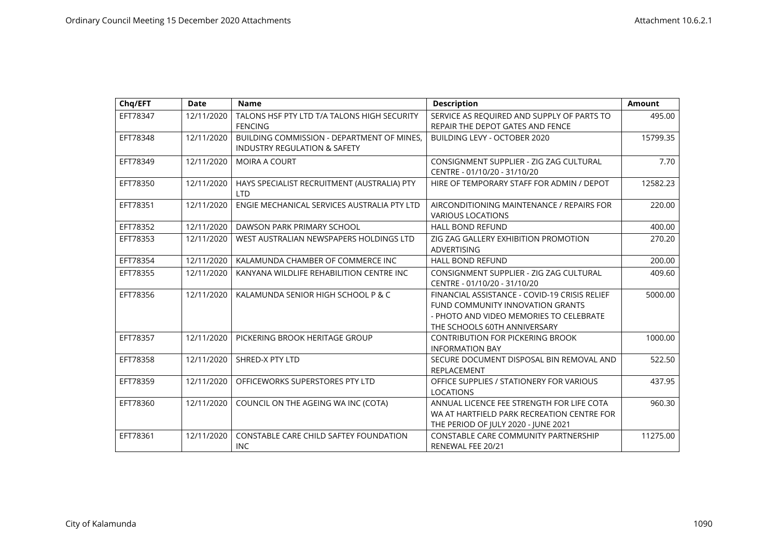| Chq/EFT  | <b>Date</b> | <b>Name</b>                                                                                  | <b>Description</b>                                                                                                                                           | <b>Amount</b> |
|----------|-------------|----------------------------------------------------------------------------------------------|--------------------------------------------------------------------------------------------------------------------------------------------------------------|---------------|
| EFT78347 | 12/11/2020  | TALONS HSF PTY LTD T/A TALONS HIGH SECURITY<br><b>FENCING</b>                                | SERVICE AS REQUIRED AND SUPPLY OF PARTS TO<br>REPAIR THE DEPOT GATES AND FENCE                                                                               | 495.00        |
| EFT78348 | 12/11/2020  | <b>BUILDING COMMISSION - DEPARTMENT OF MINES.</b><br><b>INDUSTRY REGULATION &amp; SAFETY</b> | BUILDING LEVY - OCTOBER 2020                                                                                                                                 | 15799.35      |
| EFT78349 | 12/11/2020  | <b>MOIRA A COURT</b>                                                                         | CONSIGNMENT SUPPLIER - ZIG ZAG CULTURAL<br>CENTRE - 01/10/20 - 31/10/20                                                                                      | 7.70          |
| EFT78350 | 12/11/2020  | HAYS SPECIALIST RECRUITMENT (AUSTRALIA) PTY<br><b>LTD</b>                                    | HIRE OF TEMPORARY STAFF FOR ADMIN / DEPOT                                                                                                                    | 12582.23      |
| EFT78351 | 12/11/2020  | ENGIE MECHANICAL SERVICES AUSTRALIA PTY LTD                                                  | AIRCONDITIONING MAINTENANCE / REPAIRS FOR<br><b>VARIOUS LOCATIONS</b>                                                                                        | 220.00        |
| EFT78352 | 12/11/2020  | DAWSON PARK PRIMARY SCHOOL                                                                   | <b>HALL BOND REFUND</b>                                                                                                                                      | 400.00        |
| EFT78353 | 12/11/2020  | WEST AUSTRALIAN NEWSPAPERS HOLDINGS LTD                                                      | ZIG ZAG GALLERY EXHIBITION PROMOTION<br>ADVERTISING                                                                                                          | 270.20        |
| EFT78354 | 12/11/2020  | KALAMUNDA CHAMBER OF COMMERCE INC                                                            | <b>HALL BOND REFUND</b>                                                                                                                                      | 200.00        |
| EFT78355 | 12/11/2020  | KANYANA WILDLIFE REHABILITION CENTRE INC                                                     | CONSIGNMENT SUPPLIER - ZIG ZAG CULTURAL<br>CENTRE - 01/10/20 - 31/10/20                                                                                      | 409.60        |
| EFT78356 | 12/11/2020  | KALAMUNDA SENIOR HIGH SCHOOL P & C                                                           | FINANCIAL ASSISTANCE - COVID-19 CRISIS RELIEF<br>FUND COMMUNITY INNOVATION GRANTS<br>- PHOTO AND VIDEO MEMORIES TO CELEBRATE<br>THE SCHOOLS 60TH ANNIVERSARY | 5000.00       |
| EFT78357 | 12/11/2020  | PICKERING BROOK HERITAGE GROUP                                                               | <b>CONTRIBUTION FOR PICKERING BROOK</b><br><b>INFORMATION BAY</b>                                                                                            | 1000.00       |
| EFT78358 | 12/11/2020  | SHRED-X PTY LTD                                                                              | SECURE DOCUMENT DISPOSAL BIN REMOVAL AND<br>REPLACEMENT                                                                                                      | 522.50        |
| EFT78359 | 12/11/2020  | OFFICEWORKS SUPERSTORES PTY LTD                                                              | OFFICE SUPPLIES / STATIONERY FOR VARIOUS<br><b>LOCATIONS</b>                                                                                                 | 437.95        |
| EFT78360 | 12/11/2020  | COUNCIL ON THE AGEING WA INC (COTA)                                                          | ANNUAL LICENCE FEE STRENGTH FOR LIFE COTA<br>WA AT HARTFIELD PARK RECREATION CENTRE FOR<br>THE PERIOD OF JULY 2020 - JUNE 2021                               | 960.30        |
| EFT78361 | 12/11/2020  | <b>CONSTABLE CARE CHILD SAFTEY FOUNDATION</b><br><b>INC</b>                                  | CONSTABLE CARE COMMUNITY PARTNERSHIP<br>RENEWAL FEE 20/21                                                                                                    | 11275.00      |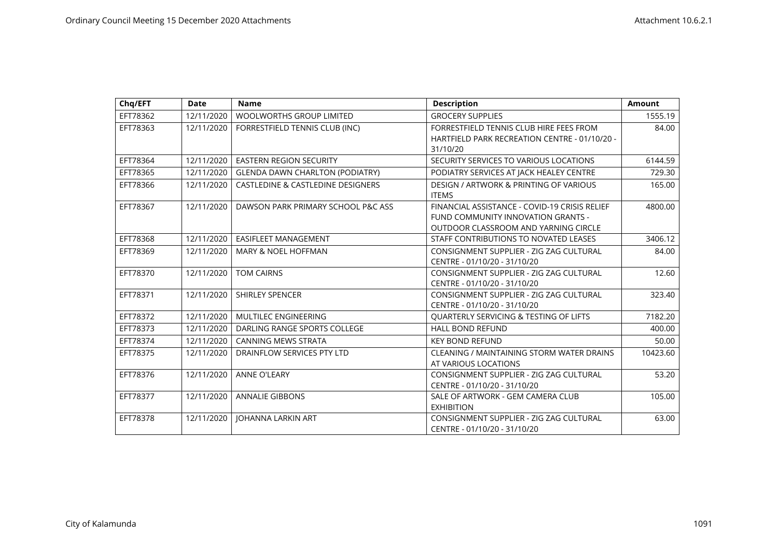| Chq/EFT  | <b>Date</b> | <b>Name</b>                                  | <b>Description</b>                                | <b>Amount</b> |
|----------|-------------|----------------------------------------------|---------------------------------------------------|---------------|
| EFT78362 | 12/11/2020  | <b>WOOLWORTHS GROUP LIMITED</b>              | <b>GROCERY SUPPLIES</b>                           | 1555.19       |
| EFT78363 | 12/11/2020  | FORRESTFIELD TENNIS CLUB (INC)               | FORRESTFIELD TENNIS CLUB HIRE FEES FROM           | 84.00         |
|          |             |                                              | HARTFIELD PARK RECREATION CENTRE - 01/10/20 -     |               |
|          |             |                                              | 31/10/20                                          |               |
| EFT78364 | 12/11/2020  | <b>EASTERN REGION SECURITY</b>               | SECURITY SERVICES TO VARIOUS LOCATIONS            | 6144.59       |
| EFT78365 | 12/11/2020  | <b>GLENDA DAWN CHARLTON (PODIATRY)</b>       | PODIATRY SERVICES AT JACK HEALEY CENTRE           | 729.30        |
| EFT78366 | 12/11/2020  | <b>CASTLEDINE &amp; CASTLEDINE DESIGNERS</b> | <b>DESIGN / ARTWORK &amp; PRINTING OF VARIOUS</b> | 165.00        |
|          |             |                                              | <b>ITEMS</b>                                      |               |
| EFT78367 | 12/11/2020  | DAWSON PARK PRIMARY SCHOOL P&C ASS           | FINANCIAL ASSISTANCE - COVID-19 CRISIS RELIEF     | 4800.00       |
|          |             |                                              | FUND COMMUNITY INNOVATION GRANTS -                |               |
|          |             |                                              | OUTDOOR CLASSROOM AND YARNING CIRCLE              |               |
| EFT78368 | 12/11/2020  | EASIFLEET MANAGEMENT                         | STAFF CONTRIBUTIONS TO NOVATED LEASES             | 3406.12       |
| EFT78369 | 12/11/2020  | <b>MARY &amp; NOEL HOFFMAN</b>               | CONSIGNMENT SUPPLIER - ZIG ZAG CULTURAL           | 84.00         |
|          |             |                                              | CENTRE - 01/10/20 - 31/10/20                      |               |
| EFT78370 | 12/11/2020  | <b>TOM CAIRNS</b>                            | CONSIGNMENT SUPPLIER - ZIG ZAG CULTURAL           | 12.60         |
|          |             |                                              | CENTRE - 01/10/20 - 31/10/20                      |               |
| EFT78371 | 12/11/2020  | <b>SHIRLEY SPENCER</b>                       | CONSIGNMENT SUPPLIER - ZIG ZAG CULTURAL           | 323.40        |
|          |             |                                              | CENTRE - 01/10/20 - 31/10/20                      |               |
| EFT78372 | 12/11/2020  | MULTILEC ENGINEERING                         | QUARTERLY SERVICING & TESTING OF LIFTS            | 7182.20       |
| EFT78373 | 12/11/2020  | DARLING RANGE SPORTS COLLEGE                 | <b>HALL BOND REFUND</b>                           | 400.00        |
| EFT78374 | 12/11/2020  | <b>CANNING MEWS STRATA</b>                   | <b>KEY BOND REFUND</b>                            | 50.00         |
| EFT78375 | 12/11/2020  | DRAINFLOW SERVICES PTY LTD                   | CLEANING / MAINTAINING STORM WATER DRAINS         | 10423.60      |
|          |             |                                              | AT VARIOUS LOCATIONS                              |               |
| EFT78376 | 12/11/2020  | <b>ANNE O'LEARY</b>                          | CONSIGNMENT SUPPLIER - ZIG ZAG CULTURAL           | 53.20         |
|          |             |                                              | CENTRE - 01/10/20 - 31/10/20                      |               |
| EFT78377 | 12/11/2020  | <b>ANNALIE GIBBONS</b>                       | SALE OF ARTWORK - GEM CAMERA CLUB                 | 105.00        |
|          |             |                                              | <b>EXHIBITION</b>                                 |               |
| EFT78378 | 12/11/2020  | <b>JOHANNA LARKIN ART</b>                    | CONSIGNMENT SUPPLIER - ZIG ZAG CULTURAL           | 63.00         |
|          |             |                                              | CENTRE - 01/10/20 - 31/10/20                      |               |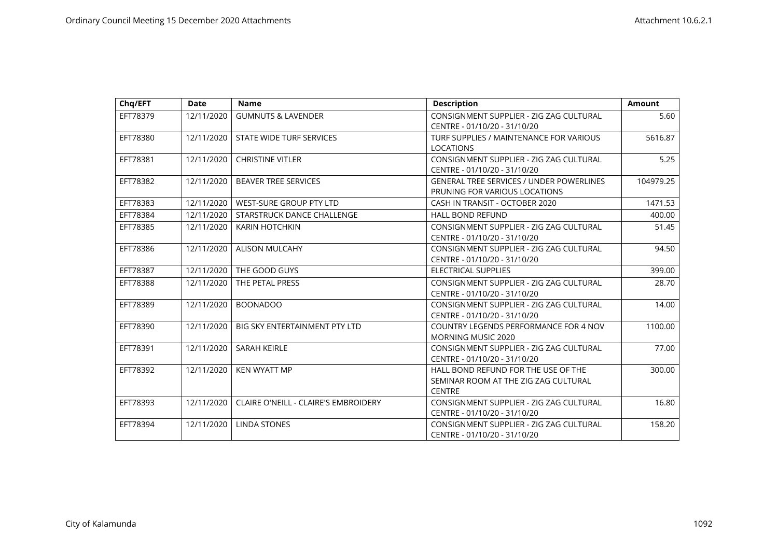| Chq/EFT  | <b>Date</b> | <b>Name</b>                                 | <b>Description</b>                                                                           | <b>Amount</b> |
|----------|-------------|---------------------------------------------|----------------------------------------------------------------------------------------------|---------------|
| EFT78379 | 12/11/2020  | <b>GUMNUTS &amp; LAVENDER</b>               | CONSIGNMENT SUPPLIER - ZIG ZAG CULTURAL<br>CENTRE - 01/10/20 - 31/10/20                      | 5.60          |
| EFT78380 | 12/11/2020  | STATE WIDE TURF SERVICES                    | TURF SUPPLIES / MAINTENANCE FOR VARIOUS<br><b>LOCATIONS</b>                                  | 5616.87       |
| EFT78381 | 12/11/2020  | <b>CHRISTINE VITLER</b>                     | CONSIGNMENT SUPPLIER - ZIG ZAG CULTURAL<br>CENTRE - 01/10/20 - 31/10/20                      | 5.25          |
| EFT78382 | 12/11/2020  | <b>BEAVER TREE SERVICES</b>                 | <b>GENERAL TREE SERVICES / UNDER POWERLINES</b><br>PRUNING FOR VARIOUS LOCATIONS             | 104979.25     |
| EFT78383 | 12/11/2020  | WEST-SURE GROUP PTY LTD                     | CASH IN TRANSIT - OCTOBER 2020                                                               | 1471.53       |
| EFT78384 | 12/11/2020  | STARSTRUCK DANCE CHALLENGE                  | <b>HALL BOND REFUND</b>                                                                      | 400.00        |
| EFT78385 | 12/11/2020  | <b>KARIN HOTCHKIN</b>                       | CONSIGNMENT SUPPLIER - ZIG ZAG CULTURAL<br>CENTRE - 01/10/20 - 31/10/20                      | 51.45         |
| EFT78386 | 12/11/2020  | <b>ALISON MULCAHY</b>                       | CONSIGNMENT SUPPLIER - ZIG ZAG CULTURAL<br>CENTRE - 01/10/20 - 31/10/20                      | 94.50         |
| EFT78387 | 12/11/2020  | THE GOOD GUYS                               | <b>ELECTRICAL SUPPLIES</b>                                                                   | 399.00        |
| EFT78388 | 12/11/2020  | THE PETAL PRESS                             | CONSIGNMENT SUPPLIER - ZIG ZAG CULTURAL<br>CENTRE - 01/10/20 - 31/10/20                      | 28.70         |
| EFT78389 | 12/11/2020  | <b>BOONADOO</b>                             | CONSIGNMENT SUPPLIER - ZIG ZAG CULTURAL<br>CENTRE - 01/10/20 - 31/10/20                      | 14.00         |
| EFT78390 | 12/11/2020  | <b>BIG SKY ENTERTAINMENT PTY LTD</b>        | <b>COUNTRY LEGENDS PERFORMANCE FOR 4 NOV</b><br><b>MORNING MUSIC 2020</b>                    | 1100.00       |
| EFT78391 | 12/11/2020  | <b>SARAH KEIRLE</b>                         | CONSIGNMENT SUPPLIER - ZIG ZAG CULTURAL<br>CENTRE - 01/10/20 - 31/10/20                      | 77.00         |
| EFT78392 | 12/11/2020  | <b>KEN WYATT MP</b>                         | HALL BOND REFUND FOR THE USE OF THE<br>SEMINAR ROOM AT THE ZIG ZAG CULTURAL<br><b>CENTRE</b> | 300.00        |
| EFT78393 | 12/11/2020  | <b>CLAIRE O'NEILL - CLAIRE'S EMBROIDERY</b> | CONSIGNMENT SUPPLIER - ZIG ZAG CULTURAL<br>CENTRE - 01/10/20 - 31/10/20                      | 16.80         |
| EFT78394 | 12/11/2020  | <b>LINDA STONES</b>                         | CONSIGNMENT SUPPLIER - ZIG ZAG CULTURAL<br>CENTRE - 01/10/20 - 31/10/20                      | 158.20        |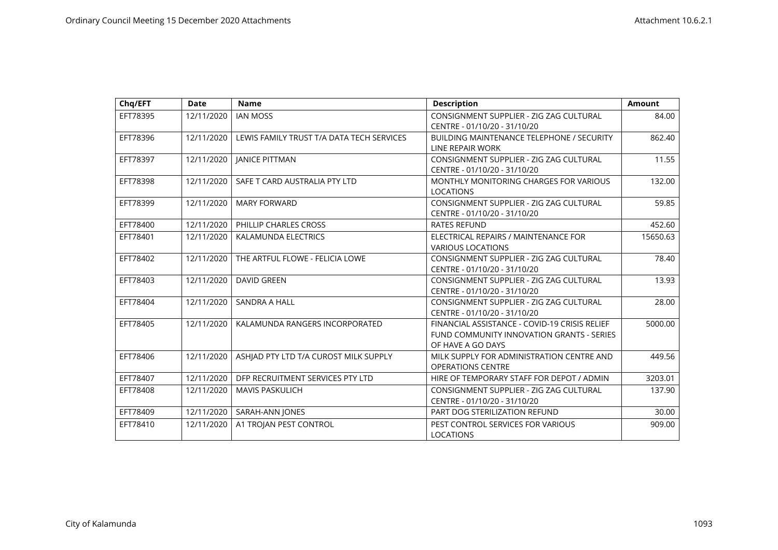| Chq/EFT  | <b>Date</b> | <b>Name</b>                               | <b>Description</b>                                                                                              | <b>Amount</b> |
|----------|-------------|-------------------------------------------|-----------------------------------------------------------------------------------------------------------------|---------------|
| EFT78395 | 12/11/2020  | <b>IAN MOSS</b>                           | CONSIGNMENT SUPPLIER - ZIG ZAG CULTURAL<br>CENTRE - 01/10/20 - 31/10/20                                         | 84.00         |
| EFT78396 | 12/11/2020  | LEWIS FAMILY TRUST T/A DATA TECH SERVICES | <b>BUILDING MAINTENANCE TELEPHONE / SECURITY</b><br>LINE REPAIR WORK                                            | 862.40        |
| EFT78397 | 12/11/2020  | <b>JANICE PITTMAN</b>                     | CONSIGNMENT SUPPLIER - ZIG ZAG CULTURAL<br>CENTRE - 01/10/20 - 31/10/20                                         | 11.55         |
| EFT78398 | 12/11/2020  | SAFE T CARD AUSTRALIA PTY LTD             | MONTHLY MONITORING CHARGES FOR VARIOUS<br><b>LOCATIONS</b>                                                      | 132.00        |
| EFT78399 | 12/11/2020  | <b>MARY FORWARD</b>                       | CONSIGNMENT SUPPLIER - ZIG ZAG CULTURAL<br>CENTRE - 01/10/20 - 31/10/20                                         | 59.85         |
| EFT78400 | 12/11/2020  | PHILLIP CHARLES CROSS                     | <b>RATES REFUND</b>                                                                                             | 452.60        |
| EFT78401 | 12/11/2020  | KALAMUNDA ELECTRICS                       | ELECTRICAL REPAIRS / MAINTENANCE FOR<br><b>VARIOUS LOCATIONS</b>                                                | 15650.63      |
| EFT78402 | 12/11/2020  | THE ARTFUL FLOWE - FELICIA LOWE           | CONSIGNMENT SUPPLIER - ZIG ZAG CULTURAL<br>CENTRE - 01/10/20 - 31/10/20                                         | 78.40         |
| EFT78403 | 12/11/2020  | <b>DAVID GREEN</b>                        | CONSIGNMENT SUPPLIER - ZIG ZAG CULTURAL<br>CENTRE - 01/10/20 - 31/10/20                                         | 13.93         |
| EFT78404 | 12/11/2020  | <b>SANDRA A HALL</b>                      | CONSIGNMENT SUPPLIER - ZIG ZAG CULTURAL<br>CENTRE - 01/10/20 - 31/10/20                                         | 28.00         |
| EFT78405 | 12/11/2020  | KALAMUNDA RANGERS INCORPORATED            | FINANCIAL ASSISTANCE - COVID-19 CRISIS RELIEF<br>FUND COMMUNITY INNOVATION GRANTS - SERIES<br>OF HAVE A GO DAYS | 5000.00       |
| EFT78406 | 12/11/2020  | ASHIAD PTY LTD T/A CUROST MILK SUPPLY     | MILK SUPPLY FOR ADMINISTRATION CENTRE AND<br><b>OPERATIONS CENTRE</b>                                           | 449.56        |
| EFT78407 | 12/11/2020  | DFP RECRUITMENT SERVICES PTY LTD          | HIRE OF TEMPORARY STAFF FOR DEPOT / ADMIN                                                                       | 3203.01       |
| EFT78408 | 12/11/2020  | <b>MAVIS PASKULICH</b>                    | CONSIGNMENT SUPPLIER - ZIG ZAG CULTURAL<br>CENTRE - 01/10/20 - 31/10/20                                         | 137.90        |
| EFT78409 | 12/11/2020  | SARAH-ANN JONES                           | PART DOG STERILIZATION REFUND                                                                                   | 30.00         |
| EFT78410 | 12/11/2020  | A1 TROJAN PEST CONTROL                    | PEST CONTROL SERVICES FOR VARIOUS<br><b>LOCATIONS</b>                                                           | 909.00        |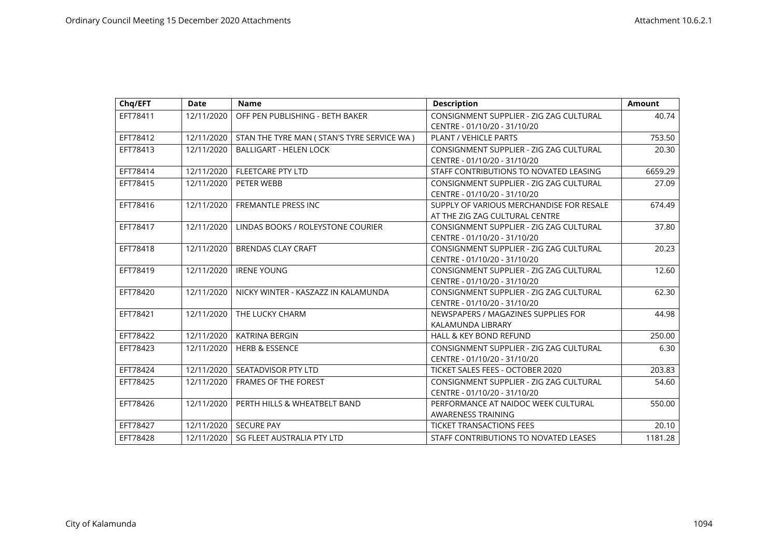| Chq/EFT  | <b>Date</b> | <b>Name</b>                                  | <b>Description</b>                       | <b>Amount</b> |
|----------|-------------|----------------------------------------------|------------------------------------------|---------------|
| EFT78411 | 12/11/2020  | OFF PEN PUBLISHING - BETH BAKER              | CONSIGNMENT SUPPLIER - ZIG ZAG CULTURAL  | 40.74         |
|          |             |                                              | CENTRE - 01/10/20 - 31/10/20             |               |
| EFT78412 | 12/11/2020  | STAN THE TYRE MAN ( STAN'S TYRE SERVICE WA ) | <b>PLANT / VEHICLE PARTS</b>             | 753.50        |
| EFT78413 | 12/11/2020  | <b>BALLIGART - HELEN LOCK</b>                | CONSIGNMENT SUPPLIER - ZIG ZAG CULTURAL  | 20.30         |
|          |             |                                              | CENTRE - 01/10/20 - 31/10/20             |               |
| EFT78414 | 12/11/2020  | <b>FLEETCARE PTY LTD</b>                     | STAFF CONTRIBUTIONS TO NOVATED LEASING   | 6659.29       |
| EFT78415 | 12/11/2020  | PETER WEBB                                   | CONSIGNMENT SUPPLIER - ZIG ZAG CULTURAL  | 27.09         |
|          |             |                                              | CENTRE - 01/10/20 - 31/10/20             |               |
| EFT78416 | 12/11/2020  | FREMANTLE PRESS INC                          | SUPPLY OF VARIOUS MERCHANDISE FOR RESALE | 674.49        |
|          |             |                                              | AT THE ZIG ZAG CULTURAL CENTRE           |               |
| EFT78417 | 12/11/2020  | LINDAS BOOKS / ROLEYSTONE COURIER            | CONSIGNMENT SUPPLIER - ZIG ZAG CULTURAL  | 37.80         |
|          |             |                                              | CENTRE - 01/10/20 - 31/10/20             |               |
| EFT78418 | 12/11/2020  | <b>BRENDAS CLAY CRAFT</b>                    | CONSIGNMENT SUPPLIER - ZIG ZAG CULTURAL  | 20.23         |
|          |             |                                              | CENTRE - 01/10/20 - 31/10/20             |               |
| EFT78419 | 12/11/2020  | <b>IRENE YOUNG</b>                           | CONSIGNMENT SUPPLIER - ZIG ZAG CULTURAL  | 12.60         |
|          |             |                                              | CENTRE - 01/10/20 - 31/10/20             |               |
| EFT78420 | 12/11/2020  | NICKY WINTER - KASZAZZ IN KALAMUNDA          | CONSIGNMENT SUPPLIER - ZIG ZAG CULTURAL  | 62.30         |
|          |             |                                              | CENTRE - 01/10/20 - 31/10/20             |               |
| EFT78421 | 12/11/2020  | THE LUCKY CHARM                              | NEWSPAPERS / MAGAZINES SUPPLIES FOR      | 44.98         |
|          |             |                                              | KALAMUNDA LIBRARY                        |               |
| EFT78422 | 12/11/2020  | KATRINA BERGIN                               | HALL & KEY BOND REFUND                   | 250.00        |
| EFT78423 | 12/11/2020  | <b>HERB &amp; ESSENCE</b>                    | CONSIGNMENT SUPPLIER - ZIG ZAG CULTURAL  | 6.30          |
|          |             |                                              | CENTRE - 01/10/20 - 31/10/20             |               |
| EFT78424 | 12/11/2020  | SEATADVISOR PTY LTD                          | TICKET SALES FEES - OCTOBER 2020         | 203.83        |
| EFT78425 | 12/11/2020  | <b>FRAMES OF THE FOREST</b>                  | CONSIGNMENT SUPPLIER - ZIG ZAG CULTURAL  | 54.60         |
|          |             |                                              | CENTRE - 01/10/20 - 31/10/20             |               |
| EFT78426 | 12/11/2020  | PERTH HILLS & WHEATBELT BAND                 | PERFORMANCE AT NAIDOC WEEK CULTURAL      | 550.00        |
|          |             |                                              | <b>AWARENESS TRAINING</b>                |               |
| EFT78427 | 12/11/2020  | <b>SECURE PAY</b>                            | <b>TICKET TRANSACTIONS FEES</b>          | 20.10         |
| EFT78428 | 12/11/2020  | <b>SG FLEET AUSTRALIA PTY LTD</b>            | STAFF CONTRIBUTIONS TO NOVATED LEASES    | 1181.28       |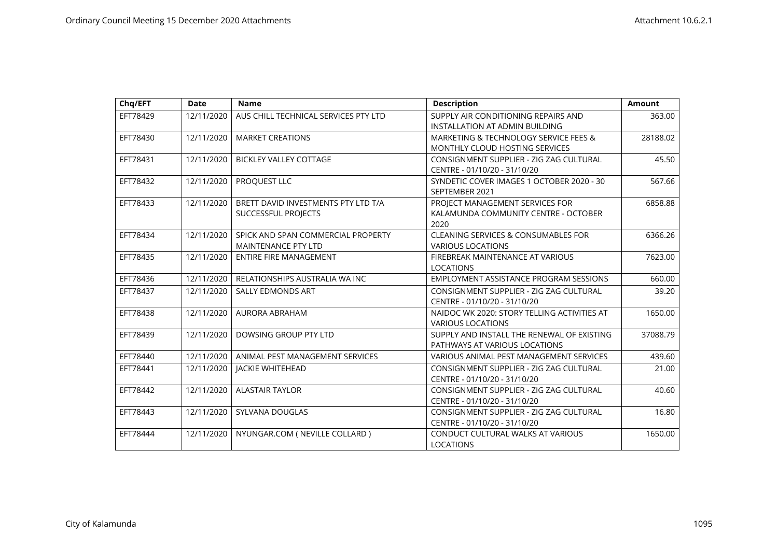| Chq/EFT  | <b>Date</b> | <b>Name</b>                          | <b>Description</b>                          | <b>Amount</b> |
|----------|-------------|--------------------------------------|---------------------------------------------|---------------|
| EFT78429 | 12/11/2020  | AUS CHILL TECHNICAL SERVICES PTY LTD | SUPPLY AIR CONDITIONING REPAIRS AND         | 363.00        |
|          |             |                                      | INSTALLATION AT ADMIN BUILDING              |               |
| EFT78430 | 12/11/2020  | <b>MARKET CREATIONS</b>              | MARKETING & TECHNOLOGY SERVICE FEES &       | 28188.02      |
|          |             |                                      | MONTHLY CLOUD HOSTING SERVICES              |               |
| EFT78431 | 12/11/2020  | <b>BICKLEY VALLEY COTTAGE</b>        | CONSIGNMENT SUPPLIER - ZIG ZAG CULTURAL     | 45.50         |
|          |             |                                      | CENTRE - 01/10/20 - 31/10/20                |               |
| EFT78432 | 12/11/2020  | PROQUEST LLC                         | SYNDETIC COVER IMAGES 1 OCTOBER 2020 - 30   | 567.66        |
|          |             |                                      | SEPTEMBER 2021                              |               |
| EFT78433 | 12/11/2020  | BRETT DAVID INVESTMENTS PTY LTD T/A  | PROJECT MANAGEMENT SERVICES FOR             | 6858.88       |
|          |             | SUCCESSFUL PROJECTS                  | KALAMUNDA COMMUNITY CENTRE - OCTOBER        |               |
|          |             |                                      | 2020                                        |               |
| EFT78434 | 12/11/2020  | SPICK AND SPAN COMMERCIAL PROPERTY   | CLEANING SERVICES & CONSUMABLES FOR         | 6366.26       |
|          |             | <b>MAINTENANCE PTY LTD</b>           | <b>VARIOUS LOCATIONS</b>                    |               |
| EFT78435 | 12/11/2020  | <b>ENTIRE FIRE MANAGEMENT</b>        | FIREBREAK MAINTENANCE AT VARIOUS            | 7623.00       |
|          |             |                                      | <b>LOCATIONS</b>                            |               |
| EFT78436 | 12/11/2020  | RELATIONSHIPS AUSTRALIA WA INC       | EMPLOYMENT ASSISTANCE PROGRAM SESSIONS      | 660.00        |
| EFT78437 | 12/11/2020  | <b>SALLY EDMONDS ART</b>             | CONSIGNMENT SUPPLIER - ZIG ZAG CULTURAL     | 39.20         |
|          |             |                                      | CENTRE - 01/10/20 - 31/10/20                |               |
| EFT78438 | 12/11/2020  | AURORA ABRAHAM                       | NAIDOC WK 2020: STORY TELLING ACTIVITIES AT | 1650.00       |
|          |             |                                      | <b>VARIOUS LOCATIONS</b>                    |               |
| EFT78439 | 12/11/2020  | DOWSING GROUP PTY LTD                | SUPPLY AND INSTALL THE RENEWAL OF EXISTING  | 37088.79      |
|          |             |                                      | PATHWAYS AT VARIOUS LOCATIONS               |               |
| EFT78440 | 12/11/2020  | ANIMAL PEST MANAGEMENT SERVICES      | VARIOUS ANIMAL PEST MANAGEMENT SERVICES     | 439.60        |
| EFT78441 | 12/11/2020  | <b>JACKIE WHITEHEAD</b>              | CONSIGNMENT SUPPLIER - ZIG ZAG CULTURAL     | 21.00         |
|          |             |                                      | CENTRE - 01/10/20 - 31/10/20                |               |
| EFT78442 | 12/11/2020  | <b>ALASTAIR TAYLOR</b>               | CONSIGNMENT SUPPLIER - ZIG ZAG CULTURAL     | 40.60         |
|          |             |                                      | CENTRE - 01/10/20 - 31/10/20                |               |
| EFT78443 | 12/11/2020  | SYLVANA DOUGLAS                      | CONSIGNMENT SUPPLIER - ZIG ZAG CULTURAL     | 16.80         |
|          |             |                                      | CENTRE - 01/10/20 - 31/10/20                |               |
| EFT78444 | 12/11/2020  | NYUNGAR.COM ( NEVILLE COLLARD )      | CONDUCT CULTURAL WALKS AT VARIOUS           | 1650.00       |
|          |             |                                      | <b>LOCATIONS</b>                            |               |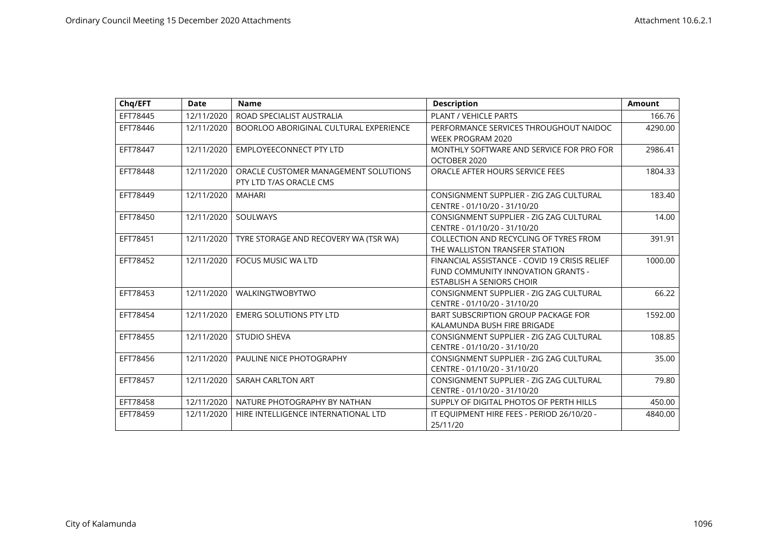| Chq/EFT  | Date       | <b>Name</b>                                                     | <b>Description</b>                                                                                                      | <b>Amount</b> |
|----------|------------|-----------------------------------------------------------------|-------------------------------------------------------------------------------------------------------------------------|---------------|
| EFT78445 | 12/11/2020 | ROAD SPECIALIST AUSTRALIA                                       | <b>PLANT / VEHICLE PARTS</b>                                                                                            | 166.76        |
| EFT78446 | 12/11/2020 | BOORLOO ABORIGINAL CULTURAL EXPERIENCE                          | PERFORMANCE SERVICES THROUGHOUT NAIDOC<br><b>WEEK PROGRAM 2020</b>                                                      | 4290.00       |
| EFT78447 | 12/11/2020 | EMPLOYEECONNECT PTY LTD                                         | MONTHLY SOFTWARE AND SERVICE FOR PRO FOR<br>OCTOBER 2020                                                                | 2986.41       |
| EFT78448 | 12/11/2020 | ORACLE CUSTOMER MANAGEMENT SOLUTIONS<br>PTY LTD T/AS ORACLE CMS | ORACLE AFTER HOURS SERVICE FEES                                                                                         | 1804.33       |
| EFT78449 | 12/11/2020 | <b>MAHARI</b>                                                   | CONSIGNMENT SUPPLIER - ZIG ZAG CULTURAL<br>CENTRE - 01/10/20 - 31/10/20                                                 | 183.40        |
| EFT78450 | 12/11/2020 | SOULWAYS                                                        | CONSIGNMENT SUPPLIER - ZIG ZAG CULTURAL<br>CENTRE - 01/10/20 - 31/10/20                                                 | 14.00         |
| EFT78451 | 12/11/2020 | TYRE STORAGE AND RECOVERY WA (TSR WA)                           | <b>COLLECTION AND RECYCLING OF TYRES FROM</b><br>THE WALLISTON TRANSFER STATION                                         | 391.91        |
| EFT78452 | 12/11/2020 | <b>FOCUS MUSIC WA LTD</b>                                       | FINANCIAL ASSISTANCE - COVID 19 CRISIS RELIEF<br>FUND COMMUNITY INNOVATION GRANTS -<br><b>ESTABLISH A SENIORS CHOIR</b> | 1000.00       |
| EFT78453 | 12/11/2020 | WALKINGTWOBYTWO                                                 | CONSIGNMENT SUPPLIER - ZIG ZAG CULTURAL<br>CENTRE - 01/10/20 - 31/10/20                                                 | 66.22         |
| EFT78454 | 12/11/2020 | <b>EMERG SOLUTIONS PTY LTD</b>                                  | BART SUBSCRIPTION GROUP PACKAGE FOR<br>KALAMUNDA BUSH FIRE BRIGADE                                                      | 1592.00       |
| EFT78455 | 12/11/2020 | <b>STUDIO SHEVA</b>                                             | CONSIGNMENT SUPPLIER - ZIG ZAG CULTURAL<br>CENTRE - 01/10/20 - 31/10/20                                                 | 108.85        |
| EFT78456 | 12/11/2020 | PAULINE NICE PHOTOGRAPHY                                        | CONSIGNMENT SUPPLIER - ZIG ZAG CULTURAL<br>CENTRE - 01/10/20 - 31/10/20                                                 | 35.00         |
| EFT78457 | 12/11/2020 | SARAH CARLTON ART                                               | CONSIGNMENT SUPPLIER - ZIG ZAG CULTURAL<br>CENTRE - 01/10/20 - 31/10/20                                                 | 79.80         |
| EFT78458 | 12/11/2020 | NATURE PHOTOGRAPHY BY NATHAN                                    | SUPPLY OF DIGITAL PHOTOS OF PERTH HILLS                                                                                 | 450.00        |
| EFT78459 | 12/11/2020 | HIRE INTELLIGENCE INTERNATIONAL LTD                             | IT EQUIPMENT HIRE FEES - PERIOD 26/10/20 -<br>25/11/20                                                                  | 4840.00       |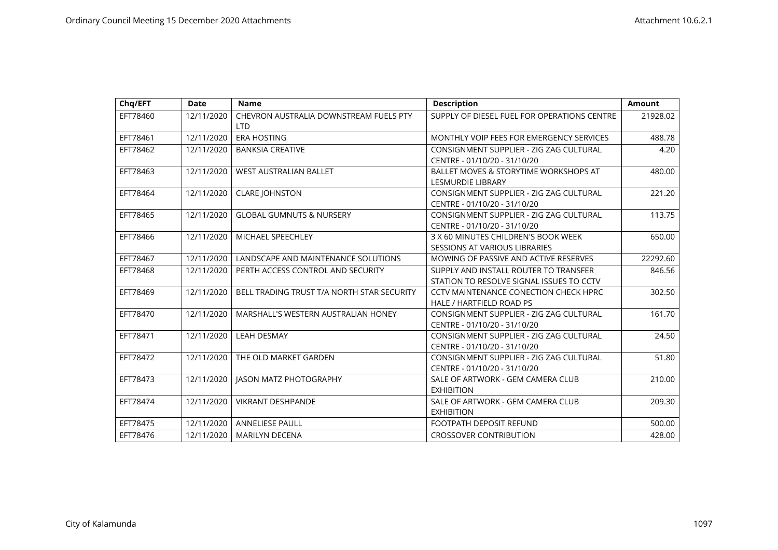| Chq/EFT  | <b>Date</b> | <b>Name</b>                                          | <b>Description</b>                                                                | <b>Amount</b> |
|----------|-------------|------------------------------------------------------|-----------------------------------------------------------------------------------|---------------|
| EFT78460 | 12/11/2020  | CHEVRON AUSTRALIA DOWNSTREAM FUELS PTY<br><b>LTD</b> | SUPPLY OF DIESEL FUEL FOR OPERATIONS CENTRE                                       | 21928.02      |
| EFT78461 | 12/11/2020  | <b>ERA HOSTING</b>                                   | MONTHLY VOIP FEES FOR EMERGENCY SERVICES                                          | 488.78        |
| EFT78462 | 12/11/2020  | <b>BANKSIA CREATIVE</b>                              | CONSIGNMENT SUPPLIER - ZIG ZAG CULTURAL<br>CENTRE - 01/10/20 - 31/10/20           | 4.20          |
| EFT78463 | 12/11/2020  | <b>WEST AUSTRALIAN BALLET</b>                        | BALLET MOVES & STORYTIME WORKSHOPS AT<br><b>LESMURDIE LIBRARY</b>                 | 480.00        |
| EFT78464 | 12/11/2020  | <b>CLARE JOHNSTON</b>                                | CONSIGNMENT SUPPLIER - ZIG ZAG CULTURAL<br>CENTRE - 01/10/20 - 31/10/20           | 221.20        |
| EFT78465 | 12/11/2020  | <b>GLOBAL GUMNUTS &amp; NURSERY</b>                  | CONSIGNMENT SUPPLIER - ZIG ZAG CULTURAL<br>CENTRE - 01/10/20 - 31/10/20           | 113.75        |
| EFT78466 | 12/11/2020  | MICHAEL SPEECHLEY                                    | 3 X 60 MINUTES CHILDREN'S BOOK WEEK<br><b>SESSIONS AT VARIOUS LIBRARIES</b>       | 650.00        |
| EFT78467 | 12/11/2020  | LANDSCAPE AND MAINTENANCE SOLUTIONS                  | MOWING OF PASSIVE AND ACTIVE RESERVES                                             | 22292.60      |
| EFT78468 | 12/11/2020  | PERTH ACCESS CONTROL AND SECURITY                    | SUPPLY AND INSTALL ROUTER TO TRANSFER<br>STATION TO RESOLVE SIGNAL ISSUES TO CCTV | 846.56        |
| EFT78469 | 12/11/2020  | BELL TRADING TRUST T/A NORTH STAR SECURITY           | CCTV MAINTENANCE CONECTION CHECK HPRC<br>HALE / HARTFIELD ROAD PS                 | 302.50        |
| EFT78470 | 12/11/2020  | MARSHALL'S WESTERN AUSTRALIAN HONEY                  | CONSIGNMENT SUPPLIER - ZIG ZAG CULTURAL<br>CENTRE - 01/10/20 - 31/10/20           | 161.70        |
| EFT78471 | 12/11/2020  | <b>LEAH DESMAY</b>                                   | CONSIGNMENT SUPPLIER - ZIG ZAG CULTURAL<br>CENTRE - 01/10/20 - 31/10/20           | 24.50         |
| EFT78472 | 12/11/2020  | THE OLD MARKET GARDEN                                | CONSIGNMENT SUPPLIER - ZIG ZAG CULTURAL<br>CENTRE - 01/10/20 - 31/10/20           | 51.80         |
| EFT78473 | 12/11/2020  | JASON MATZ PHOTOGRAPHY                               | SALE OF ARTWORK - GEM CAMERA CLUB<br><b>EXHIBITION</b>                            | 210.00        |
| EFT78474 | 12/11/2020  | <b>VIKRANT DESHPANDE</b>                             | SALE OF ARTWORK - GEM CAMERA CLUB<br><b>EXHIBITION</b>                            | 209.30        |
| EFT78475 | 12/11/2020  | <b>ANNELIESE PAULL</b>                               | <b>FOOTPATH DEPOSIT REFUND</b>                                                    | 500.00        |
| EFT78476 | 12/11/2020  | <b>MARILYN DECENA</b>                                | <b>CROSSOVER CONTRIBUTION</b>                                                     | 428.00        |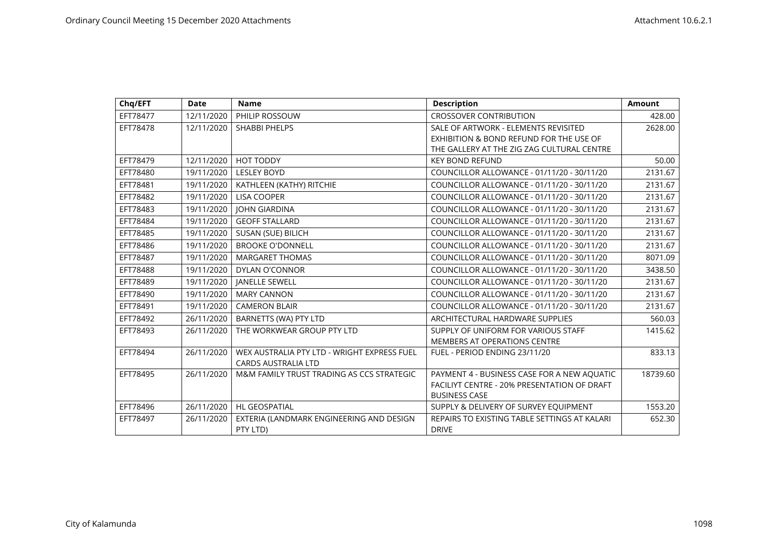| Chq/EFT  | <b>Date</b> | <b>Name</b>                                 | <b>Description</b>                           | <b>Amount</b> |
|----------|-------------|---------------------------------------------|----------------------------------------------|---------------|
| EFT78477 | 12/11/2020  | PHILIP ROSSOUW                              | <b>CROSSOVER CONTRIBUTION</b>                | 428.00        |
| EFT78478 | 12/11/2020  | <b>SHABBI PHELPS</b>                        | SALE OF ARTWORK - ELEMENTS REVISITED         | 2628.00       |
|          |             |                                             | EXHIBITION & BOND REFUND FOR THE USE OF      |               |
|          |             |                                             | THE GALLERY AT THE ZIG ZAG CULTURAL CENTRE   |               |
| EFT78479 | 12/11/2020  | <b>HOT TODDY</b>                            | <b>KEY BOND REFUND</b>                       | 50.00         |
| EFT78480 | 19/11/2020  | <b>LESLEY BOYD</b>                          | COUNCILLOR ALLOWANCE - 01/11/20 - 30/11/20   | 2131.67       |
| EFT78481 | 19/11/2020  | KATHLEEN (KATHY) RITCHIE                    | COUNCILLOR ALLOWANCE - 01/11/20 - 30/11/20   | 2131.67       |
| EFT78482 | 19/11/2020  | <b>LISA COOPER</b>                          | COUNCILLOR ALLOWANCE - 01/11/20 - 30/11/20   | 2131.67       |
| EFT78483 | 19/11/2020  | <b>JOHN GIARDINA</b>                        | COUNCILLOR ALLOWANCE - 01/11/20 - 30/11/20   | 2131.67       |
| EFT78484 | 19/11/2020  | <b>GEOFF STALLARD</b>                       | COUNCILLOR ALLOWANCE - 01/11/20 - 30/11/20   | 2131.67       |
| EFT78485 | 19/11/2020  | SUSAN (SUE) BILICH                          | COUNCILLOR ALLOWANCE - 01/11/20 - 30/11/20   | 2131.67       |
| EFT78486 | 19/11/2020  | <b>BROOKE O'DONNELL</b>                     | COUNCILLOR ALLOWANCE - 01/11/20 - 30/11/20   | 2131.67       |
| EFT78487 | 19/11/2020  | <b>MARGARET THOMAS</b>                      | COUNCILLOR ALLOWANCE - 01/11/20 - 30/11/20   | 8071.09       |
| EFT78488 | 19/11/2020  | DYLAN O'CONNOR                              | COUNCILLOR ALLOWANCE - 01/11/20 - 30/11/20   | 3438.50       |
| EFT78489 | 19/11/2020  | <b>JANELLE SEWELL</b>                       | COUNCILLOR ALLOWANCE - 01/11/20 - 30/11/20   | 2131.67       |
| EFT78490 | 19/11/2020  | <b>MARY CANNON</b>                          | COUNCILLOR ALLOWANCE - 01/11/20 - 30/11/20   | 2131.67       |
| EFT78491 | 19/11/2020  | <b>CAMERON BLAIR</b>                        | COUNCILLOR ALLOWANCE - 01/11/20 - 30/11/20   | 2131.67       |
| EFT78492 | 26/11/2020  | BARNETTS (WA) PTY LTD                       | ARCHITECTURAL HARDWARE SUPPLIES              | 560.03        |
| EFT78493 | 26/11/2020  | THE WORKWEAR GROUP PTY LTD                  | SUPPLY OF UNIFORM FOR VARIOUS STAFF          | 1415.62       |
|          |             |                                             | <b>MEMBERS AT OPERATIONS CENTRE</b>          |               |
| EFT78494 | 26/11/2020  | WEX AUSTRALIA PTY LTD - WRIGHT EXPRESS FUEL | FUEL - PERIOD ENDING 23/11/20                | 833.13        |
|          |             | <b>CARDS AUSTRALIA LTD</b>                  |                                              |               |
| EFT78495 | 26/11/2020  | M&M FAMILY TRUST TRADING AS CCS STRATEGIC   | PAYMENT 4 - BUSINESS CASE FOR A NEW AQUATIC  | 18739.60      |
|          |             |                                             | FACILIYT CENTRE - 20% PRESENTATION OF DRAFT  |               |
|          |             |                                             | <b>BUSINESS CASE</b>                         |               |
| EFT78496 | 26/11/2020  | <b>HL GEOSPATIAL</b>                        | SUPPLY & DELIVERY OF SURVEY EQUIPMENT        | 1553.20       |
| EFT78497 | 26/11/2020  | EXTERIA (LANDMARK ENGINEERING AND DESIGN    | REPAIRS TO EXISTING TABLE SETTINGS AT KALARI | 652.30        |
|          |             | PTY LTD)                                    | <b>DRIVE</b>                                 |               |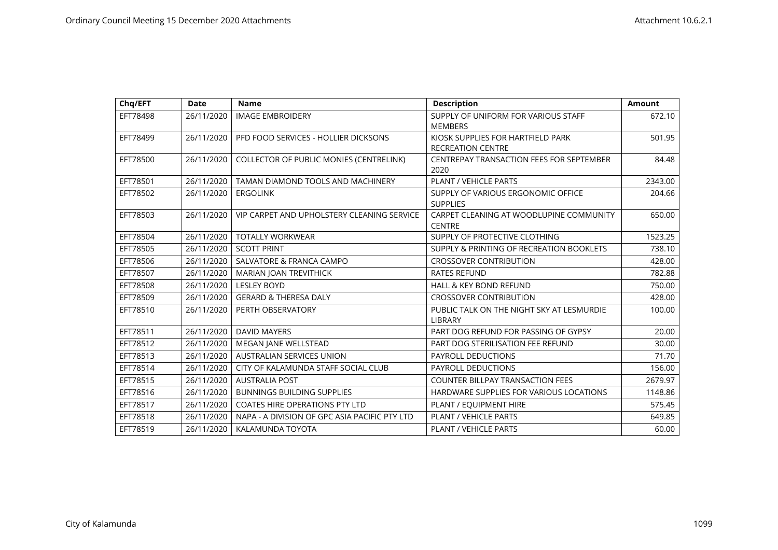| Chq/EFT  | <b>Date</b> | <b>Name</b>                                    | <b>Description</b>                                            | <b>Amount</b> |
|----------|-------------|------------------------------------------------|---------------------------------------------------------------|---------------|
| EFT78498 | 26/11/2020  | <b>IMAGE EMBROIDERY</b>                        | SUPPLY OF UNIFORM FOR VARIOUS STAFF<br><b>MEMBERS</b>         | 672.10        |
| EFT78499 | 26/11/2020  | PFD FOOD SERVICES - HOLLIER DICKSONS           | KIOSK SUPPLIES FOR HARTFIELD PARK<br><b>RECREATION CENTRE</b> | 501.95        |
| EFT78500 | 26/11/2020  | <b>COLLECTOR OF PUBLIC MONIES (CENTRELINK)</b> | CENTREPAY TRANSACTION FEES FOR SEPTEMBER<br>2020              | 84.48         |
| EFT78501 | 26/11/2020  | TAMAN DIAMOND TOOLS AND MACHINERY              | <b>PLANT / VEHICLE PARTS</b>                                  | 2343.00       |
| EFT78502 | 26/11/2020  | <b>ERGOLINK</b>                                | SUPPLY OF VARIOUS ERGONOMIC OFFICE<br><b>SUPPLIES</b>         | 204.66        |
| EFT78503 | 26/11/2020  | VIP CARPET AND UPHOLSTERY CLEANING SERVICE     | CARPET CLEANING AT WOODLUPINE COMMUNITY<br><b>CENTRE</b>      | 650.00        |
| EFT78504 | 26/11/2020  | <b>TOTALLY WORKWEAR</b>                        | SUPPLY OF PROTECTIVE CLOTHING                                 | 1523.25       |
| EFT78505 | 26/11/2020  | <b>SCOTT PRINT</b>                             | SUPPLY & PRINTING OF RECREATION BOOKLETS                      | 738.10        |
| EFT78506 | 26/11/2020  | SALVATORE & FRANCA CAMPO                       | <b>CROSSOVER CONTRIBUTION</b>                                 | 428.00        |
| EFT78507 | 26/11/2020  | <b>MARIAN JOAN TREVITHICK</b>                  | <b>RATES REFUND</b>                                           | 782.88        |
| EFT78508 | 26/11/2020  | <b>LESLEY BOYD</b>                             | <b>HALL &amp; KEY BOND REFUND</b>                             | 750.00        |
| EFT78509 | 26/11/2020  | <b>GERARD &amp; THERESA DALY</b>               | <b>CROSSOVER CONTRIBUTION</b>                                 | 428.00        |
| EFT78510 | 26/11/2020  | PERTH OBSERVATORY                              | PUBLIC TALK ON THE NIGHT SKY AT LESMURDIE<br>LIBRARY          | 100.00        |
| EFT78511 | 26/11/2020  | <b>DAVID MAYERS</b>                            | PART DOG REFUND FOR PASSING OF GYPSY                          | 20.00         |
| EFT78512 | 26/11/2020  | <b>MEGAN JANE WELLSTEAD</b>                    | PART DOG STERILISATION FEE REFUND                             | 30.00         |
| EFT78513 | 26/11/2020  | AUSTRALIAN SERVICES UNION                      | <b>PAYROLL DEDUCTIONS</b>                                     | 71.70         |
| EFT78514 | 26/11/2020  | CITY OF KALAMUNDA STAFF SOCIAL CLUB            | <b>PAYROLL DEDUCTIONS</b>                                     | 156.00        |
| EFT78515 | 26/11/2020  | <b>AUSTRALIA POST</b>                          | <b>COUNTER BILLPAY TRANSACTION FEES</b>                       | 2679.97       |
| EFT78516 | 26/11/2020  | <b>BUNNINGS BUILDING SUPPLIES</b>              | HARDWARE SUPPLIES FOR VARIOUS LOCATIONS                       | 1148.86       |
| EFT78517 | 26/11/2020  | <b>COATES HIRE OPERATIONS PTY LTD</b>          | PLANT / EQUIPMENT HIRE                                        | 575.45        |
| EFT78518 | 26/11/2020  | NAPA - A DIVISION OF GPC ASIA PACIFIC PTY LTD  | <b>PLANT / VEHICLE PARTS</b>                                  | 649.85        |
| EFT78519 | 26/11/2020  | KALAMUNDA TOYOTA                               | <b>PLANT / VEHICLE PARTS</b>                                  | 60.00         |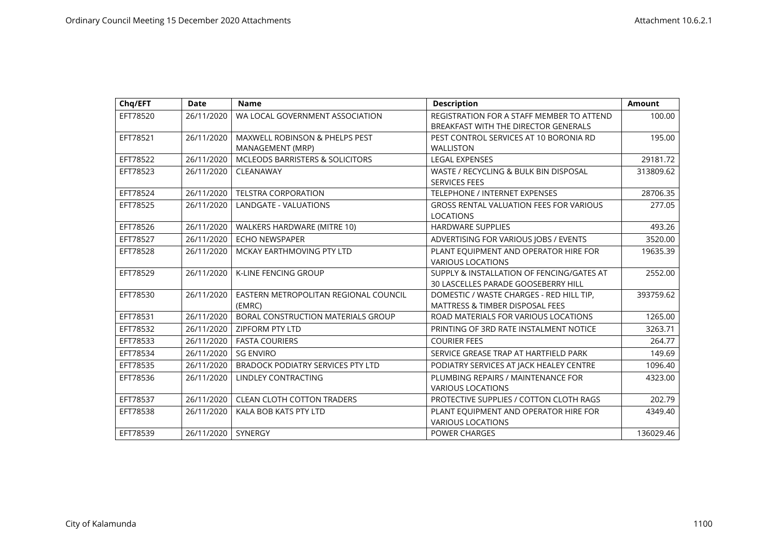| Chq/EFT  | <b>Date</b> | <b>Name</b>                                        | <b>Description</b>                                                                     | <b>Amount</b> |
|----------|-------------|----------------------------------------------------|----------------------------------------------------------------------------------------|---------------|
| EFT78520 | 26/11/2020  | WA LOCAL GOVERNMENT ASSOCIATION                    | REGISTRATION FOR A STAFF MEMBER TO ATTEND<br>BREAKFAST WITH THE DIRECTOR GENERALS      | 100.00        |
| EFT78521 | 26/11/2020  | MAXWELL ROBINSON & PHELPS PEST<br>MANAGEMENT (MRP) | PEST CONTROL SERVICES AT 10 BORONIA RD<br><b>WALLISTON</b>                             | 195.00        |
| EFT78522 | 26/11/2020  | MCLEODS BARRISTERS & SOLICITORS                    | <b>LEGAL EXPENSES</b>                                                                  | 29181.72      |
| EFT78523 | 26/11/2020  | CLEANAWAY                                          | WASTE / RECYCLING & BULK BIN DISPOSAL<br><b>SERVICES FEES</b>                          | 313809.62     |
| EFT78524 | 26/11/2020  | <b>TELSTRA CORPORATION</b>                         | <b>TELEPHONE / INTERNET EXPENSES</b>                                                   | 28706.35      |
| EFT78525 | 26/11/2020  | LANDGATE - VALUATIONS                              | <b>GROSS RENTAL VALUATION FEES FOR VARIOUS</b><br><b>LOCATIONS</b>                     | 277.05        |
| EFT78526 | 26/11/2020  | WALKERS HARDWARE (MITRE 10)                        | <b>HARDWARE SUPPLIES</b>                                                               | 493.26        |
| EFT78527 | 26/11/2020  | <b>ECHO NEWSPAPER</b>                              | ADVERTISING FOR VARIOUS JOBS / EVENTS                                                  | 3520.00       |
| EFT78528 | 26/11/2020  | MCKAY EARTHMOVING PTY LTD                          | PLANT EQUIPMENT AND OPERATOR HIRE FOR<br><b>VARIOUS LOCATIONS</b>                      | 19635.39      |
| EFT78529 | 26/11/2020  | <b>K-LINE FENCING GROUP</b>                        | SUPPLY & INSTALLATION OF FENCING/GATES AT<br>30 LASCELLES PARADE GOOSEBERRY HILL       | 2552.00       |
| EFT78530 | 26/11/2020  | EASTERN METROPOLITAN REGIONAL COUNCIL<br>(EMRC)    | DOMESTIC / WASTE CHARGES - RED HILL TIP,<br><b>MATTRESS &amp; TIMBER DISPOSAL FEES</b> | 393759.62     |
| EFT78531 | 26/11/2020  | BORAL CONSTRUCTION MATERIALS GROUP                 | ROAD MATERIALS FOR VARIOUS LOCATIONS                                                   | 1265.00       |
| EFT78532 | 26/11/2020  | <b>ZIPFORM PTY LTD</b>                             | PRINTING OF 3RD RATE INSTALMENT NOTICE                                                 | 3263.71       |
| EFT78533 | 26/11/2020  | <b>FASTA COURIERS</b>                              | <b>COURIER FEES</b>                                                                    | 264.77        |
| EFT78534 | 26/11/2020  | <b>SG ENVIRO</b>                                   | SERVICE GREASE TRAP AT HARTFIELD PARK                                                  | 149.69        |
| EFT78535 | 26/11/2020  | <b>BRADOCK PODIATRY SERVICES PTY LTD</b>           | PODIATRY SERVICES AT JACK HEALEY CENTRE                                                | 1096.40       |
| EFT78536 | 26/11/2020  | <b>LINDLEY CONTRACTING</b>                         | PLUMBING REPAIRS / MAINTENANCE FOR<br><b>VARIOUS LOCATIONS</b>                         | 4323.00       |
| EFT78537 | 26/11/2020  | <b>CLEAN CLOTH COTTON TRADERS</b>                  | PROTECTIVE SUPPLIES / COTTON CLOTH RAGS                                                | 202.79        |
| EFT78538 | 26/11/2020  | KALA BOB KATS PTY LTD                              | PLANT EQUIPMENT AND OPERATOR HIRE FOR<br><b>VARIOUS LOCATIONS</b>                      | 4349.40       |
| EFT78539 | 26/11/2020  | SYNERGY                                            | POWER CHARGES                                                                          | 136029.46     |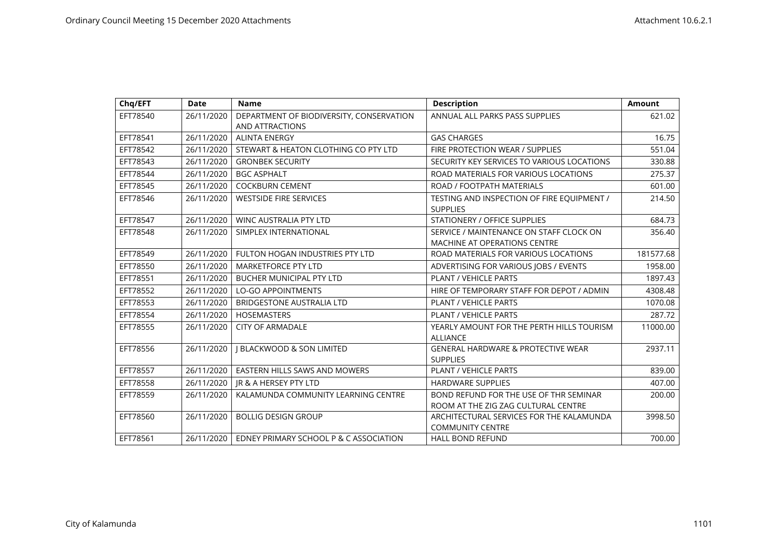| Chq/EFT  | <b>Date</b> | <b>Name</b>                                                 | <b>Description</b>                                                             | <b>Amount</b> |
|----------|-------------|-------------------------------------------------------------|--------------------------------------------------------------------------------|---------------|
| EFT78540 | 26/11/2020  | DEPARTMENT OF BIODIVERSITY, CONSERVATION<br>AND ATTRACTIONS | ANNUAL ALL PARKS PASS SUPPLIES                                                 | 621.02        |
| EFT78541 | 26/11/2020  | <b>ALINTA ENERGY</b>                                        | <b>GAS CHARGES</b>                                                             | 16.75         |
| EFT78542 | 26/11/2020  | STEWART & HEATON CLOTHING CO PTY LTD                        | FIRE PROTECTION WEAR / SUPPLIES                                                | 551.04        |
| EFT78543 | 26/11/2020  | <b>GRONBEK SECURITY</b>                                     | SECURITY KEY SERVICES TO VARIOUS LOCATIONS                                     | 330.88        |
| EFT78544 | 26/11/2020  | <b>BGC ASPHALT</b>                                          | ROAD MATERIALS FOR VARIOUS LOCATIONS                                           | 275.37        |
| EFT78545 | 26/11/2020  | <b>COCKBURN CEMENT</b>                                      | ROAD / FOOTPATH MATERIALS                                                      | 601.00        |
| EFT78546 | 26/11/2020  | <b>WESTSIDE FIRE SERVICES</b>                               | TESTING AND INSPECTION OF FIRE EQUIPMENT /<br><b>SUPPLIES</b>                  | 214.50        |
| EFT78547 | 26/11/2020  | WINC AUSTRALIA PTY LTD                                      | STATIONERY / OFFICE SUPPLIES                                                   | 684.73        |
| EFT78548 | 26/11/2020  | SIMPLEX INTERNATIONAL                                       | SERVICE / MAINTENANCE ON STAFF CLOCK ON<br><b>MACHINE AT OPERATIONS CENTRE</b> | 356.40        |
| EFT78549 | 26/11/2020  | FULTON HOGAN INDUSTRIES PTY LTD                             | ROAD MATERIALS FOR VARIOUS LOCATIONS                                           | 181577.68     |
| EFT78550 | 26/11/2020  | <b>MARKETFORCE PTY LTD</b>                                  | ADVERTISING FOR VARIOUS JOBS / EVENTS                                          | 1958.00       |
| EFT78551 | 26/11/2020  | <b>BUCHER MUNICIPAL PTY LTD</b>                             | <b>PLANT / VEHICLE PARTS</b>                                                   | 1897.43       |
| EFT78552 | 26/11/2020  | <b>LO-GO APPOINTMENTS</b>                                   | HIRE OF TEMPORARY STAFF FOR DEPOT / ADMIN                                      | 4308.48       |
| EFT78553 | 26/11/2020  | <b>BRIDGESTONE AUSTRALIA LTD</b>                            | <b>PLANT / VEHICLE PARTS</b>                                                   | 1070.08       |
| EFT78554 | 26/11/2020  | <b>HOSEMASTERS</b>                                          | <b>PLANT / VEHICLE PARTS</b>                                                   | 287.72        |
| EFT78555 | 26/11/2020  | <b>CITY OF ARMADALE</b>                                     | YEARLY AMOUNT FOR THE PERTH HILLS TOURISM<br><b>ALLIANCE</b>                   | 11000.00      |
| EFT78556 | 26/11/2020  | <b>J BLACKWOOD &amp; SON LIMITED</b>                        | <b>GENERAL HARDWARE &amp; PROTECTIVE WEAR</b><br><b>SUPPLIES</b>               | 2937.11       |
| EFT78557 | 26/11/2020  | <b>EASTERN HILLS SAWS AND MOWERS</b>                        | <b>PLANT / VEHICLE PARTS</b>                                                   | 839.00        |
| EFT78558 | 26/11/2020  | JR & A HERSEY PTY LTD                                       | <b>HARDWARE SUPPLIES</b>                                                       | 407.00        |
| EFT78559 | 26/11/2020  | KALAMUNDA COMMUNITY LEARNING CENTRE                         | BOND REFUND FOR THE USE OF THR SEMINAR<br>ROOM AT THE ZIG ZAG CULTURAL CENTRE  | 200.00        |
| EFT78560 | 26/11/2020  | <b>BOLLIG DESIGN GROUP</b>                                  | ARCHITECTURAL SERVICES FOR THE KALAMUNDA<br><b>COMMUNITY CENTRE</b>            | 3998.50       |
| EFT78561 | 26/11/2020  | EDNEY PRIMARY SCHOOL P & C ASSOCIATION                      | <b>HALL BOND REFUND</b>                                                        | 700.00        |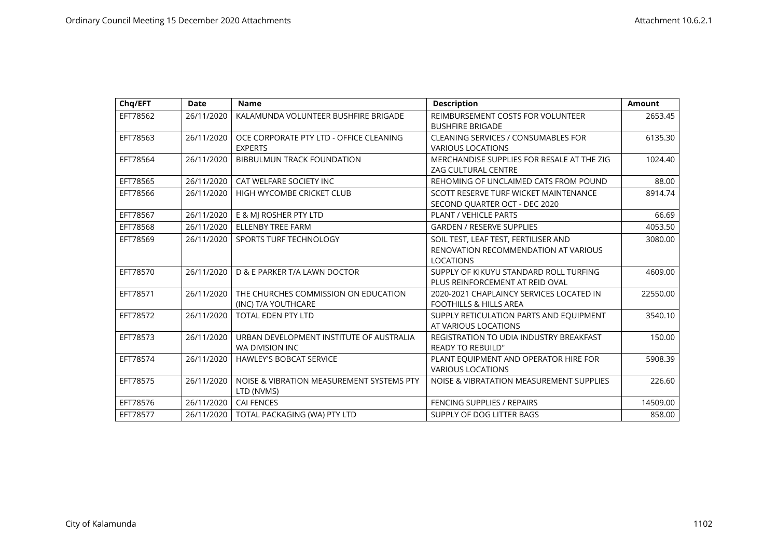| Chq/EFT  | <b>Date</b> | <b>Name</b>                               | <b>Description</b>                         | <b>Amount</b> |
|----------|-------------|-------------------------------------------|--------------------------------------------|---------------|
| EFT78562 | 26/11/2020  | KALAMUNDA VOLUNTEER BUSHFIRE BRIGADE      | REIMBURSEMENT COSTS FOR VOLUNTEER          | 2653.45       |
|          |             |                                           | <b>BUSHFIRE BRIGADE</b>                    |               |
| EFT78563 | 26/11/2020  | OCE CORPORATE PTY LTD - OFFICE CLEANING   | <b>CLEANING SERVICES / CONSUMABLES FOR</b> | 6135.30       |
|          |             | <b>EXPERTS</b>                            | <b>VARIOUS LOCATIONS</b>                   |               |
| EFT78564 | 26/11/2020  | <b>BIBBULMUN TRACK FOUNDATION</b>         | MERCHANDISE SUPPLIES FOR RESALE AT THE ZIG | 1024.40       |
|          |             |                                           | <b>ZAG CULTURAL CENTRE</b>                 |               |
| EFT78565 | 26/11/2020  | CAT WELFARE SOCIETY INC                   | REHOMING OF UNCLAIMED CATS FROM POUND      | 88.00         |
| EFT78566 | 26/11/2020  | HIGH WYCOMBE CRICKET CLUB                 | SCOTT RESERVE TURF WICKET MAINTENANCE      | 8914.74       |
|          |             |                                           | SECOND QUARTER OCT - DEC 2020              |               |
| EFT78567 | 26/11/2020  | E & MJ ROSHER PTY LTD                     | <b>PLANT / VEHICLE PARTS</b>               | 66.69         |
| EFT78568 | 26/11/2020  | <b>ELLENBY TREE FARM</b>                  | <b>GARDEN / RESERVE SUPPLIES</b>           | 4053.50       |
| EFT78569 | 26/11/2020  | SPORTS TURF TECHNOLOGY                    | SOIL TEST, LEAF TEST, FERTILISER AND       | 3080.00       |
|          |             |                                           | RENOVATION RECOMMENDATION AT VARIOUS       |               |
|          |             |                                           | <b>LOCATIONS</b>                           |               |
| EFT78570 | 26/11/2020  | D & E PARKER T/A LAWN DOCTOR              | SUPPLY OF KIKUYU STANDARD ROLL TURFING     | 4609.00       |
|          |             |                                           | PLUS REINFORCEMENT AT REID OVAL            |               |
| EFT78571 | 26/11/2020  | THE CHURCHES COMMISSION ON EDUCATION      | 2020-2021 CHAPLAINCY SERVICES LOCATED IN   | 22550.00      |
|          |             | (INC) T/A YOUTHCARE                       | <b>FOOTHILLS &amp; HILLS AREA</b>          |               |
| EFT78572 | 26/11/2020  | <b>TOTAL EDEN PTY LTD</b>                 | SUPPLY RETICULATION PARTS AND EQUIPMENT    | 3540.10       |
|          |             |                                           | AT VARIOUS LOCATIONS                       |               |
| EFT78573 | 26/11/2020  | URBAN DEVELOPMENT INSTITUTE OF AUSTRALIA  | REGISTRATION TO UDIA INDUSTRY BREAKFAST    | 150.00        |
|          |             | WA DIVISION INC                           | <b>READY TO REBUILD"</b>                   |               |
| EFT78574 | 26/11/2020  | <b>HAWLEY'S BOBCAT SERVICE</b>            | PLANT EQUIPMENT AND OPERATOR HIRE FOR      | 5908.39       |
|          |             |                                           | <b>VARIOUS LOCATIONS</b>                   |               |
| EFT78575 | 26/11/2020  | NOISE & VIBRATION MEASUREMENT SYSTEMS PTY | NOISE & VIBRATATION MEASUREMENT SUPPLIES   | 226.60        |
|          |             | LTD (NVMS)                                |                                            |               |
| EFT78576 | 26/11/2020  | <b>CAI FENCES</b>                         | <b>FENCING SUPPLIES / REPAIRS</b>          | 14509.00      |
| EFT78577 | 26/11/2020  | TOTAL PACKAGING (WA) PTY LTD              | SUPPLY OF DOG LITTER BAGS                  | 858.00        |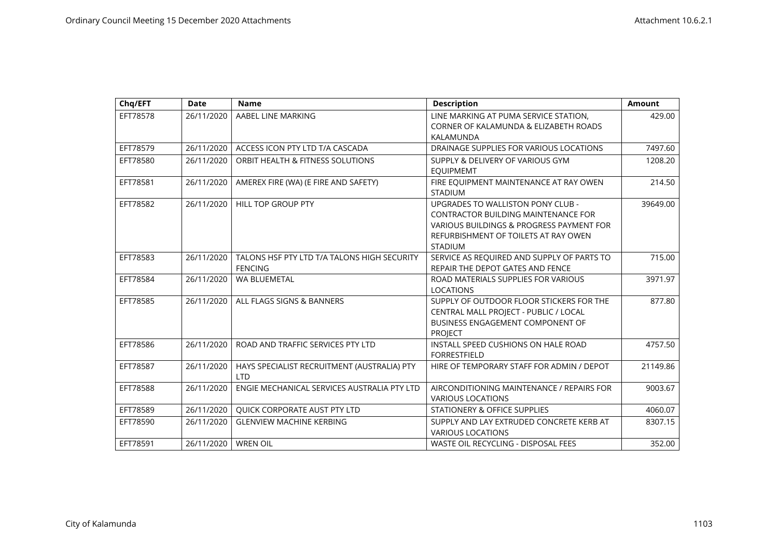| Chq/EFT  | <b>Date</b> | <b>Name</b>                                 | <b>Description</b>                                         | <b>Amount</b> |
|----------|-------------|---------------------------------------------|------------------------------------------------------------|---------------|
| EFT78578 | 26/11/2020  | AABEL LINE MARKING                          | LINE MARKING AT PUMA SERVICE STATION,                      | 429.00        |
|          |             |                                             | CORNER OF KALAMUNDA & ELIZABETH ROADS                      |               |
|          |             |                                             | KALAMUNDA                                                  |               |
| EFT78579 | 26/11/2020  | ACCESS ICON PTY LTD T/A CASCADA             | DRAINAGE SUPPLIES FOR VARIOUS LOCATIONS                    | 7497.60       |
| EFT78580 | 26/11/2020  | ORBIT HEALTH & FITNESS SOLUTIONS            | SUPPLY & DELIVERY OF VARIOUS GYM<br><b>EQUIPMEMT</b>       | 1208.20       |
| EFT78581 | 26/11/2020  | AMEREX FIRE (WA) (E FIRE AND SAFETY)        | FIRE EQUIPMENT MAINTENANCE AT RAY OWEN                     | 214.50        |
|          |             |                                             | <b>STADIUM</b>                                             |               |
| EFT78582 | 26/11/2020  | <b>HILL TOP GROUP PTY</b>                   | <b>UPGRADES TO WALLISTON PONY CLUB -</b>                   | 39649.00      |
|          |             |                                             | <b>CONTRACTOR BUILDING MAINTENANCE FOR</b>                 |               |
|          |             |                                             | VARIOUS BUILDINGS & PROGRESS PAYMENT FOR                   |               |
|          |             |                                             | REFURBISHMENT OF TOILETS AT RAY OWEN                       |               |
|          |             |                                             | <b>STADIUM</b>                                             |               |
| EFT78583 | 26/11/2020  | TALONS HSF PTY LTD T/A TALONS HIGH SECURITY | SERVICE AS REQUIRED AND SUPPLY OF PARTS TO                 | 715.00        |
|          |             | <b>FENCING</b>                              | REPAIR THE DEPOT GATES AND FENCE                           |               |
| EFT78584 | 26/11/2020  | <b>WA BLUEMETAL</b>                         | ROAD MATERIALS SUPPLIES FOR VARIOUS                        | 3971.97       |
|          |             |                                             | <b>LOCATIONS</b>                                           |               |
| EFT78585 | 26/11/2020  | ALL FLAGS SIGNS & BANNERS                   | SUPPLY OF OUTDOOR FLOOR STICKERS FOR THE                   | 877.80        |
|          |             |                                             | CENTRAL MALL PROJECT - PUBLIC / LOCAL                      |               |
|          |             |                                             | <b>BUSINESS ENGAGEMENT COMPONENT OF</b>                    |               |
|          |             |                                             | <b>PROJECT</b>                                             |               |
| EFT78586 | 26/11/2020  | ROAD AND TRAFFIC SERVICES PTY LTD           | INSTALL SPEED CUSHIONS ON HALE ROAD<br><b>FORRESTFIELD</b> | 4757.50       |
| EFT78587 | 26/11/2020  | HAYS SPECIALIST RECRUITMENT (AUSTRALIA) PTY | HIRE OF TEMPORARY STAFF FOR ADMIN / DEPOT                  | 21149.86      |
|          |             | <b>LTD</b>                                  |                                                            |               |
| EFT78588 | 26/11/2020  | ENGIE MECHANICAL SERVICES AUSTRALIA PTY LTD | AIRCONDITIONING MAINTENANCE / REPAIRS FOR                  | 9003.67       |
|          |             |                                             | <b>VARIOUS LOCATIONS</b>                                   |               |
| EFT78589 | 26/11/2020  | QUICK CORPORATE AUST PTY LTD                | <b>STATIONERY &amp; OFFICE SUPPLIES</b>                    | 4060.07       |
| EFT78590 | 26/11/2020  | <b>GLENVIEW MACHINE KERBING</b>             | SUPPLY AND LAY EXTRUDED CONCRETE KERB AT                   | 8307.15       |
|          |             |                                             | <b>VARIOUS LOCATIONS</b>                                   |               |
| EFT78591 | 26/11/2020  | <b>WREN OIL</b>                             | <b>WASTE OIL RECYCLING - DISPOSAL FEES</b>                 | 352.00        |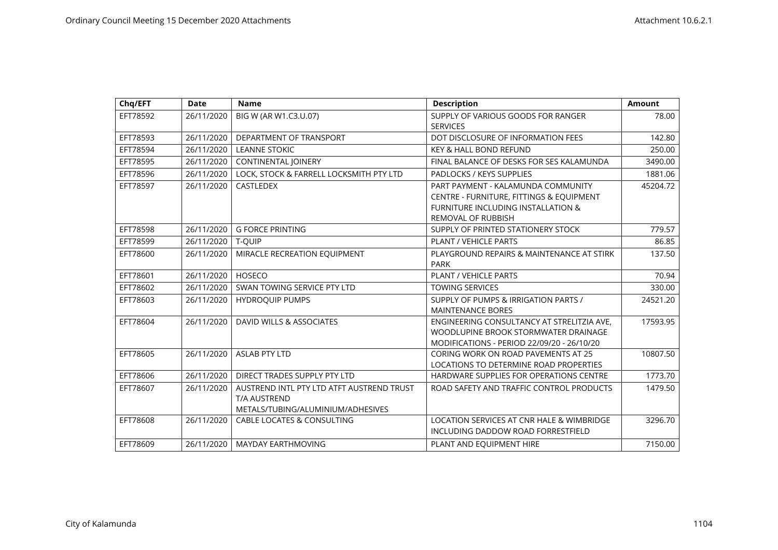| Chq/EFT  | <b>Date</b> | <b>Name</b>                                                                                           | <b>Description</b>                                                                                                                                           | <b>Amount</b> |
|----------|-------------|-------------------------------------------------------------------------------------------------------|--------------------------------------------------------------------------------------------------------------------------------------------------------------|---------------|
| EFT78592 | 26/11/2020  | BIG W (AR W1.C3.U.07)                                                                                 | SUPPLY OF VARIOUS GOODS FOR RANGER<br><b>SERVICES</b>                                                                                                        | 78.00         |
| EFT78593 | 26/11/2020  | DEPARTMENT OF TRANSPORT                                                                               | DOT DISCLOSURE OF INFORMATION FEES                                                                                                                           | 142.80        |
| EFT78594 | 26/11/2020  | <b>LEANNE STOKIC</b>                                                                                  | <b>KEY &amp; HALL BOND REFUND</b>                                                                                                                            | 250.00        |
| EFT78595 | 26/11/2020  | CONTINENTAL JOINERY                                                                                   | FINAL BALANCE OF DESKS FOR SES KALAMUNDA                                                                                                                     | 3490.00       |
| EFT78596 | 26/11/2020  | LOCK, STOCK & FARRELL LOCKSMITH PTY LTD                                                               | PADLOCKS / KEYS SUPPLIES                                                                                                                                     | 1881.06       |
| EFT78597 | 26/11/2020  | CASTLEDEX                                                                                             | PART PAYMENT - KALAMUNDA COMMUNITY<br>CENTRE - FURNITURE, FITTINGS & EQUIPMENT<br><b>FURNITURE INCLUDING INSTALLATION &amp;</b><br><b>REMOVAL OF RUBBISH</b> | 45204.72      |
| EFT78598 | 26/11/2020  | <b>G FORCE PRINTING</b>                                                                               | SUPPLY OF PRINTED STATIONERY STOCK                                                                                                                           | 779.57        |
| EFT78599 | 26/11/2020  | T-OUIP                                                                                                | PLANT / VEHICLE PARTS                                                                                                                                        | 86.85         |
| EFT78600 | 26/11/2020  | MIRACLE RECREATION EQUIPMENT                                                                          | PLAYGROUND REPAIRS & MAINTENANCE AT STIRK<br><b>PARK</b>                                                                                                     | 137.50        |
| EFT78601 | 26/11/2020  | HOSECO                                                                                                | PLANT / VEHICLE PARTS                                                                                                                                        | 70.94         |
| EFT78602 | 26/11/2020  | SWAN TOWING SERVICE PTY LTD                                                                           | <b>TOWING SERVICES</b>                                                                                                                                       | 330.00        |
| EFT78603 | 26/11/2020  | <b>HYDROQUIP PUMPS</b>                                                                                | <b>SUPPLY OF PUMPS &amp; IRRIGATION PARTS /</b><br><b>MAINTENANCE BORES</b>                                                                                  | 24521.20      |
| EFT78604 | 26/11/2020  | DAVID WILLS & ASSOCIATES                                                                              | ENGINEERING CONSULTANCY AT STRELITZIA AVE,<br>WOODLUPINE BROOK STORMWATER DRAINAGE<br>MODIFICATIONS - PERIOD 22/09/20 - 26/10/20                             | 17593.95      |
| EFT78605 | 26/11/2020  | <b>ASLAB PTY LTD</b>                                                                                  | <b>CORING WORK ON ROAD PAVEMENTS AT 25</b><br>LOCATIONS TO DETERMINE ROAD PROPERTIES                                                                         | 10807.50      |
| EFT78606 | 26/11/2020  | DIRECT TRADES SUPPLY PTY LTD                                                                          | HARDWARE SUPPLIES FOR OPERATIONS CENTRE                                                                                                                      | 1773.70       |
| EFT78607 | 26/11/2020  | AUSTREND INTL PTY LTD ATFT AUSTREND TRUST<br><b>T/A AUSTREND</b><br>METALS/TUBING/ALUMINIUM/ADHESIVES | ROAD SAFETY AND TRAFFIC CONTROL PRODUCTS                                                                                                                     | 1479.50       |
| EFT78608 | 26/11/2020  | <b>CABLE LOCATES &amp; CONSULTING</b>                                                                 | LOCATION SERVICES AT CNR HALE & WIMBRIDGE<br>INCLUDING DADDOW ROAD FORRESTFIELD                                                                              | 3296.70       |
| EFT78609 | 26/11/2020  | MAYDAY EARTHMOVING                                                                                    | PLANT AND EQUIPMENT HIRE                                                                                                                                     | 7150.00       |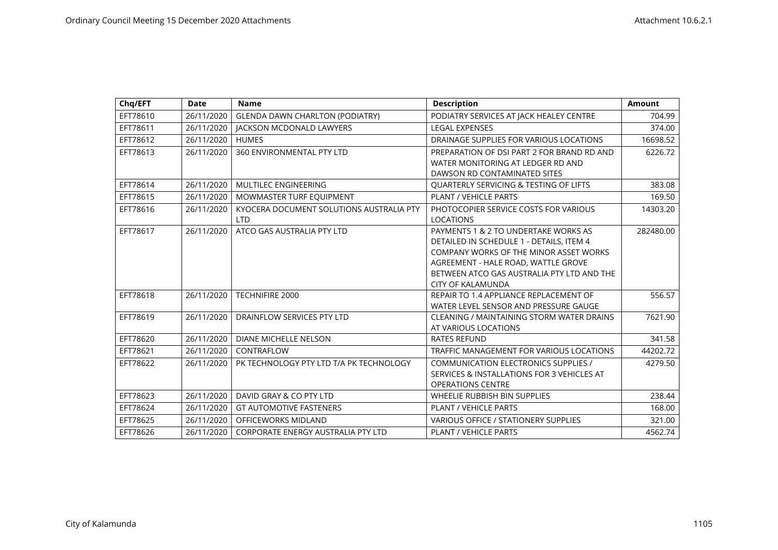| Chq/EFT  | <b>Date</b> | <b>Name</b>                              | <b>Description</b>                                | <b>Amount</b> |
|----------|-------------|------------------------------------------|---------------------------------------------------|---------------|
| EFT78610 | 26/11/2020  | <b>GLENDA DAWN CHARLTON (PODIATRY)</b>   | PODIATRY SERVICES AT JACK HEALEY CENTRE           | 704.99        |
| EFT78611 | 26/11/2020  | <b>IACKSON MCDONALD LAWYERS</b>          | <b>LEGAL EXPENSES</b>                             | 374.00        |
| EFT78612 | 26/11/2020  | <b>HUMES</b>                             | DRAINAGE SUPPLIES FOR VARIOUS LOCATIONS           | 16698.52      |
| EFT78613 | 26/11/2020  | 360 ENVIRONMENTAL PTY LTD                | PREPARATION OF DSI PART 2 FOR BRAND RD AND        | 6226.72       |
|          |             |                                          | WATER MONITORING AT LEDGER RD AND                 |               |
|          |             |                                          | DAWSON RD CONTAMINATED SITES                      |               |
| EFT78614 | 26/11/2020  | <b>MULTILEC ENGINEERING</b>              | <b>QUARTERLY SERVICING &amp; TESTING OF LIFTS</b> | 383.08        |
| EFT78615 | 26/11/2020  | MOWMASTER TURF EQUIPMENT                 | PLANT / VEHICLE PARTS                             | 169.50        |
| EFT78616 | 26/11/2020  | KYOCERA DOCUMENT SOLUTIONS AUSTRALIA PTY | PHOTOCOPIER SERVICE COSTS FOR VARIOUS             | 14303.20      |
|          |             | <b>LTD</b>                               | <b>LOCATIONS</b>                                  |               |
| EFT78617 | 26/11/2020  | ATCO GAS AUSTRALIA PTY LTD               | PAYMENTS 1 & 2 TO UNDERTAKE WORKS AS              | 282480.00     |
|          |             |                                          | DETAILED IN SCHEDULE 1 - DETAILS, ITEM 4          |               |
|          |             |                                          | <b>COMPANY WORKS OF THE MINOR ASSET WORKS</b>     |               |
|          |             |                                          | AGREEMENT - HALE ROAD, WATTLE GROVE               |               |
|          |             |                                          | BETWEEN ATCO GAS AUSTRALIA PTY LTD AND THE        |               |
|          |             |                                          | <b>CITY OF KALAMUNDA</b>                          |               |
| EFT78618 | 26/11/2020  | TECHNIFIRE 2000                          | REPAIR TO 1.4 APPLIANCE REPLACEMENT OF            | 556.57        |
|          |             |                                          | WATER LEVEL SENSOR AND PRESSURE GAUGE             |               |
| EFT78619 | 26/11/2020  | DRAINFLOW SERVICES PTY LTD               | CLEANING / MAINTAINING STORM WATER DRAINS         | 7621.90       |
|          |             |                                          | AT VARIOUS LOCATIONS                              |               |
| EFT78620 | 26/11/2020  | <b>DIANE MICHELLE NELSON</b>             | <b>RATES REFUND</b>                               | 341.58        |
| EFT78621 | 26/11/2020  | CONTRAFLOW                               | TRAFFIC MANAGEMENT FOR VARIOUS LOCATIONS          | 44202.72      |
| EFT78622 | 26/11/2020  | PK TECHNOLOGY PTY LTD T/A PK TECHNOLOGY  | <b>COMMUNICATION ELECTRONICS SUPPLIES /</b>       | 4279.50       |
|          |             |                                          | SERVICES & INSTALLATIONS FOR 3 VEHICLES AT        |               |
|          |             |                                          | <b>OPERATIONS CENTRE</b>                          |               |
| EFT78623 | 26/11/2020  | DAVID GRAY & CO PTY LTD                  | WHEELIE RUBBISH BIN SUPPLIES                      | 238.44        |
| EFT78624 | 26/11/2020  | <b>GT AUTOMOTIVE FASTENERS</b>           | <b>PLANT / VEHICLE PARTS</b>                      | 168.00        |
| EFT78625 | 26/11/2020  | OFFICEWORKS MIDLAND                      | <b>VARIOUS OFFICE / STATIONERY SUPPLIES</b>       | 321.00        |
| EFT78626 | 26/11/2020  | CORPORATE ENERGY AUSTRALIA PTY LTD       | <b>PLANT / VEHICLE PARTS</b>                      | 4562.74       |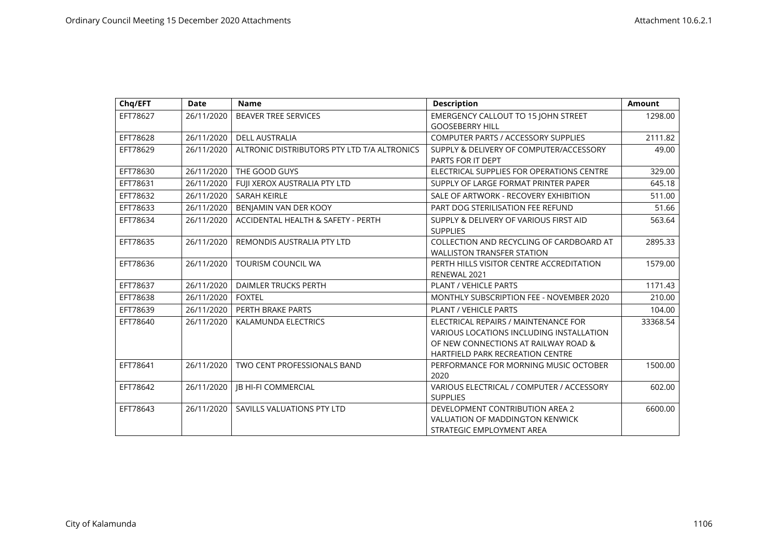| Chq/EFT  | <b>Date</b> | <b>Name</b>                                 | <b>Description</b>                                                                                                                                                         | Amount   |
|----------|-------------|---------------------------------------------|----------------------------------------------------------------------------------------------------------------------------------------------------------------------------|----------|
| EFT78627 | 26/11/2020  | <b>BEAVER TREE SERVICES</b>                 | <b>EMERGENCY CALLOUT TO 15 JOHN STREET</b><br><b>GOOSEBERRY HILL</b>                                                                                                       | 1298.00  |
| EFT78628 | 26/11/2020  | <b>DELL AUSTRALIA</b>                       | <b>COMPUTER PARTS / ACCESSORY SUPPLIES</b>                                                                                                                                 | 2111.82  |
| EFT78629 | 26/11/2020  | ALTRONIC DISTRIBUTORS PTY LTD T/A ALTRONICS | SUPPLY & DELIVERY OF COMPUTER/ACCESSORY<br>PARTS FOR IT DEPT                                                                                                               | 49.00    |
| EFT78630 | 26/11/2020  | THE GOOD GUYS                               | ELECTRICAL SUPPLIES FOR OPERATIONS CENTRE                                                                                                                                  | 329.00   |
| EFT78631 | 26/11/2020  | FUJI XEROX AUSTRALIA PTY LTD                | SUPPLY OF LARGE FORMAT PRINTER PAPER                                                                                                                                       | 645.18   |
| EFT78632 | 26/11/2020  | <b>SARAH KEIRLE</b>                         | SALE OF ARTWORK - RECOVERY EXHIBITION                                                                                                                                      | 511.00   |
| EFT78633 | 26/11/2020  | BENJAMIN VAN DER KOOY                       | PART DOG STERILISATION FEE REFUND                                                                                                                                          | 51.66    |
| EFT78634 | 26/11/2020  | ACCIDENTAL HEALTH & SAFETY - PERTH          | SUPPLY & DELIVERY OF VARIOUS FIRST AID<br><b>SUPPLIES</b>                                                                                                                  | 563.64   |
| EFT78635 | 26/11/2020  | REMONDIS AUSTRALIA PTY LTD                  | COLLECTION AND RECYCLING OF CARDBOARD AT<br><b>WALLISTON TRANSFER STATION</b>                                                                                              | 2895.33  |
| EFT78636 | 26/11/2020  | <b>TOURISM COUNCIL WA</b>                   | PERTH HILLS VISITOR CENTRE ACCREDITATION<br>RENEWAL 2021                                                                                                                   | 1579.00  |
| EFT78637 | 26/11/2020  | <b>DAIMLER TRUCKS PERTH</b>                 | <b>PLANT / VEHICLE PARTS</b>                                                                                                                                               | 1171.43  |
| EFT78638 | 26/11/2020  | <b>FOXTEL</b>                               | <b>MONTHLY SUBSCRIPTION FEE - NOVEMBER 2020</b>                                                                                                                            | 210.00   |
| EFT78639 | 26/11/2020  | PERTH BRAKE PARTS                           | PLANT / VEHICLE PARTS                                                                                                                                                      | 104.00   |
| EFT78640 | 26/11/2020  | KALAMUNDA ELECTRICS                         | ELECTRICAL REPAIRS / MAINTENANCE FOR<br><b>VARIOUS LOCATIONS INCLUDING INSTALLATION</b><br>OF NEW CONNECTIONS AT RAILWAY ROAD &<br><b>HARTFIELD PARK RECREATION CENTRE</b> | 33368.54 |
| EFT78641 | 26/11/2020  | TWO CENT PROFESSIONALS BAND                 | PERFORMANCE FOR MORNING MUSIC OCTOBER<br>2020                                                                                                                              | 1500.00  |
| EFT78642 | 26/11/2020  | <b>IB HI-FI COMMERCIAL</b>                  | VARIOUS ELECTRICAL / COMPUTER / ACCESSORY<br><b>SUPPLIES</b>                                                                                                               | 602.00   |
| EFT78643 | 26/11/2020  | SAVILLS VALUATIONS PTY LTD                  | DEVELOPMENT CONTRIBUTION AREA 2<br><b>VALUATION OF MADDINGTON KENWICK</b><br>STRATEGIC EMPLOYMENT AREA                                                                     | 6600.00  |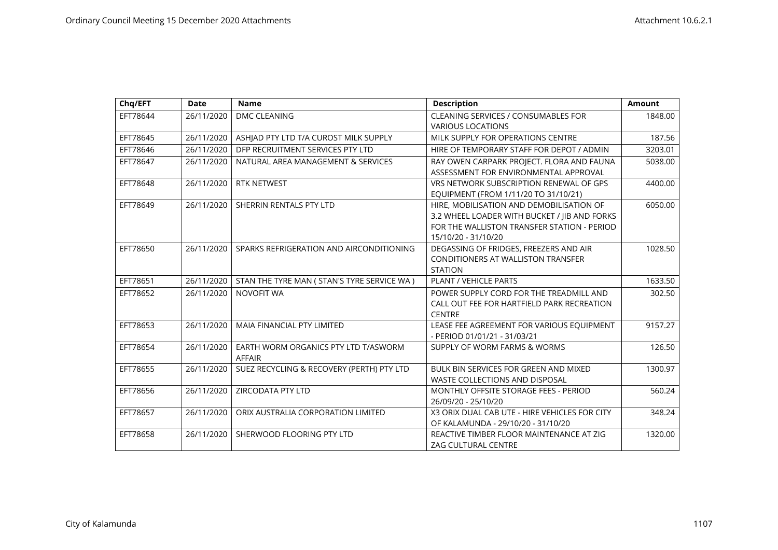| Chq/EFT  | <b>Date</b> | <b>Name</b>                                           | <b>Description</b>                                                                                                                                             | <b>Amount</b> |
|----------|-------------|-------------------------------------------------------|----------------------------------------------------------------------------------------------------------------------------------------------------------------|---------------|
| EFT78644 | 26/11/2020  | <b>DMC CLEANING</b>                                   | <b>CLEANING SERVICES / CONSUMABLES FOR</b><br><b>VARIOUS LOCATIONS</b>                                                                                         | 1848.00       |
| EFT78645 | 26/11/2020  | ASHJAD PTY LTD T/A CUROST MILK SUPPLY                 | MILK SUPPLY FOR OPERATIONS CENTRE                                                                                                                              | 187.56        |
| EFT78646 | 26/11/2020  | DFP RECRUITMENT SERVICES PTY LTD                      | HIRE OF TEMPORARY STAFF FOR DEPOT / ADMIN                                                                                                                      | 3203.01       |
| EFT78647 | 26/11/2020  | NATURAL AREA MANAGEMENT & SERVICES                    | RAY OWEN CARPARK PROJECT. FLORA AND FAUNA<br>ASSESSMENT FOR ENVIRONMENTAL APPROVAL                                                                             | 5038.00       |
| EFT78648 | 26/11/2020  | <b>RTK NETWEST</b>                                    | VRS NETWORK SUBSCRIPTION RENEWAL OF GPS<br>EQUIPMENT (FROM 1/11/20 TO 31/10/21)                                                                                | 4400.00       |
| EFT78649 | 26/11/2020  | SHERRIN RENTALS PTY LTD                               | HIRE, MOBILISATION AND DEMOBILISATION OF<br>3.2 WHEEL LOADER WITH BUCKET / IIB AND FORKS<br>FOR THE WALLISTON TRANSFER STATION - PERIOD<br>15/10/20 - 31/10/20 | 6050.00       |
| EFT78650 | 26/11/2020  | SPARKS REFRIGERATION AND AIRCONDITIONING              | DEGASSING OF FRIDGES, FREEZERS AND AIR<br><b>CONDITIONERS AT WALLISTON TRANSFER</b><br><b>STATION</b>                                                          | 1028.50       |
| EFT78651 | 26/11/2020  | STAN THE TYRE MAN ( STAN'S TYRE SERVICE WA )          | PLANT / VEHICLE PARTS                                                                                                                                          | 1633.50       |
| EFT78652 | 26/11/2020  | NOVOFIT WA                                            | POWER SUPPLY CORD FOR THE TREADMILL AND<br>CALL OUT FEE FOR HARTFIELD PARK RECREATION<br><b>CENTRE</b>                                                         | 302.50        |
| EFT78653 | 26/11/2020  | <b>MAIA FINANCIAL PTY LIMITED</b>                     | LEASE FEE AGREEMENT FOR VARIOUS EQUIPMENT<br>- PERIOD 01/01/21 - 31/03/21                                                                                      | 9157.27       |
| EFT78654 | 26/11/2020  | EARTH WORM ORGANICS PTY LTD T/ASWORM<br><b>AFFAIR</b> | SUPPLY OF WORM FARMS & WORMS                                                                                                                                   | 126.50        |
| EFT78655 | 26/11/2020  | SUEZ RECYCLING & RECOVERY (PERTH) PTY LTD             | <b>BULK BIN SERVICES FOR GREEN AND MIXED</b><br>WASTE COLLECTIONS AND DISPOSAL                                                                                 | 1300.97       |
| EFT78656 | 26/11/2020  | ZIRCODATA PTY LTD                                     | MONTHLY OFFSITE STORAGE FEES - PERIOD<br>26/09/20 - 25/10/20                                                                                                   | 560.24        |
| EFT78657 | 26/11/2020  | ORIX AUSTRALIA CORPORATION LIMITED                    | X3 ORIX DUAL CAB UTE - HIRE VEHICLES FOR CITY<br>OF KALAMUNDA - 29/10/20 - 31/10/20                                                                            | 348.24        |
| EFT78658 | 26/11/2020  | SHERWOOD FLOORING PTY LTD                             | REACTIVE TIMBER FLOOR MAINTENANCE AT ZIG<br>ZAG CULTURAL CENTRE                                                                                                | 1320.00       |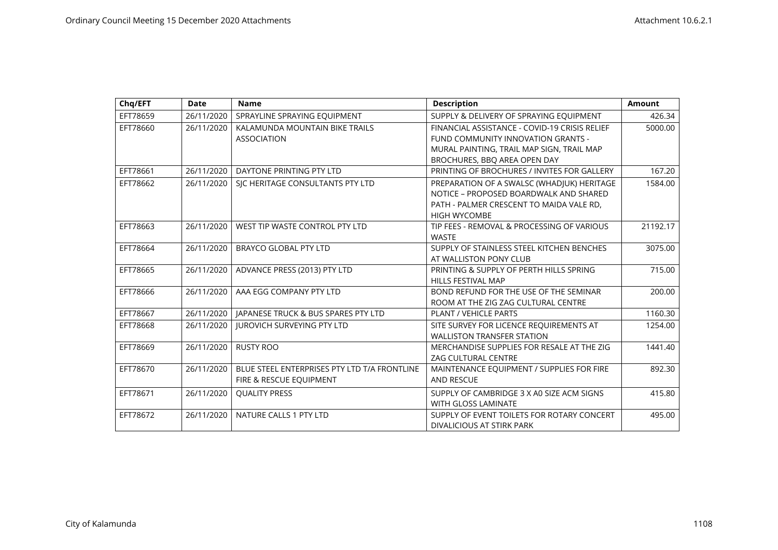| Chq/EFT  | <b>Date</b> | <b>Name</b>                                  | <b>Description</b>                            | <b>Amount</b> |
|----------|-------------|----------------------------------------------|-----------------------------------------------|---------------|
| EFT78659 | 26/11/2020  | SPRAYLINE SPRAYING EQUIPMENT                 | SUPPLY & DELIVERY OF SPRAYING EQUIPMENT       | 426.34        |
| EFT78660 | 26/11/2020  | KALAMUNDA MOUNTAIN BIKE TRAILS               | FINANCIAL ASSISTANCE - COVID-19 CRISIS RELIEF | 5000.00       |
|          |             | <b>ASSOCIATION</b>                           | FUND COMMUNITY INNOVATION GRANTS -            |               |
|          |             |                                              | MURAL PAINTING, TRAIL MAP SIGN, TRAIL MAP     |               |
|          |             |                                              | BROCHURES, BBO AREA OPEN DAY                  |               |
| EFT78661 | 26/11/2020  | DAYTONE PRINTING PTY LTD                     | PRINTING OF BROCHURES / INVITES FOR GALLERY   | 167.20        |
| EFT78662 | 26/11/2020  | SIC HERITAGE CONSULTANTS PTY LTD             | PREPARATION OF A SWALSC (WHADJUK) HERITAGE    | 1584.00       |
|          |             |                                              | NOTICE - PROPOSED BOARDWALK AND SHARED        |               |
|          |             |                                              | PATH - PALMER CRESCENT TO MAIDA VALE RD,      |               |
|          |             |                                              | <b>HIGH WYCOMBE</b>                           |               |
| EFT78663 | 26/11/2020  | WEST TIP WASTE CONTROL PTY LTD               | TIP FEES - REMOVAL & PROCESSING OF VARIOUS    | 21192.17      |
|          |             |                                              | <b>WASTE</b>                                  |               |
| EFT78664 | 26/11/2020  | <b>BRAYCO GLOBAL PTY LTD</b>                 | SUPPLY OF STAINLESS STEEL KITCHEN BENCHES     | 3075.00       |
|          |             |                                              | AT WALLISTON PONY CLUB                        |               |
| EFT78665 | 26/11/2020  | ADVANCE PRESS (2013) PTY LTD                 | PRINTING & SUPPLY OF PERTH HILLS SPRING       | 715.00        |
|          |             |                                              | <b>HILLS FESTIVAL MAP</b>                     |               |
| EFT78666 | 26/11/2020  | AAA EGG COMPANY PTY LTD                      | BOND REFUND FOR THE USE OF THE SEMINAR        | 200.00        |
|          |             |                                              | ROOM AT THE ZIG ZAG CULTURAL CENTRE           |               |
| EFT78667 | 26/11/2020  | JAPANESE TRUCK & BUS SPARES PTY LTD          | <b>PLANT / VEHICLE PARTS</b>                  | 1160.30       |
| EFT78668 | 26/11/2020  | <b>IUROVICH SURVEYING PTY LTD</b>            | SITE SURVEY FOR LICENCE REQUIREMENTS AT       | 1254.00       |
|          |             |                                              | <b>WALLISTON TRANSFER STATION</b>             |               |
| EFT78669 | 26/11/2020  | <b>RUSTY ROO</b>                             | MERCHANDISE SUPPLIES FOR RESALE AT THE ZIG    | 1441.40       |
|          |             |                                              | <b>ZAG CULTURAL CENTRE</b>                    |               |
| EFT78670 | 26/11/2020  | BLUE STEEL ENTERPRISES PTY LTD T/A FRONTLINE | MAINTENANCE EQUIPMENT / SUPPLIES FOR FIRE     | 892.30        |
|          |             | FIRE & RESCUE EQUIPMENT                      | <b>AND RESCUE</b>                             |               |
| EFT78671 | 26/11/2020  | <b>QUALITY PRESS</b>                         | SUPPLY OF CAMBRIDGE 3 X A0 SIZE ACM SIGNS     | 415.80        |
|          |             |                                              | WITH GLOSS LAMINATE                           |               |
| EFT78672 | 26/11/2020  | NATURE CALLS 1 PTY LTD                       | SUPPLY OF EVENT TOILETS FOR ROTARY CONCERT    | 495.00        |
|          |             |                                              | DIVALICIOUS AT STIRK PARK                     |               |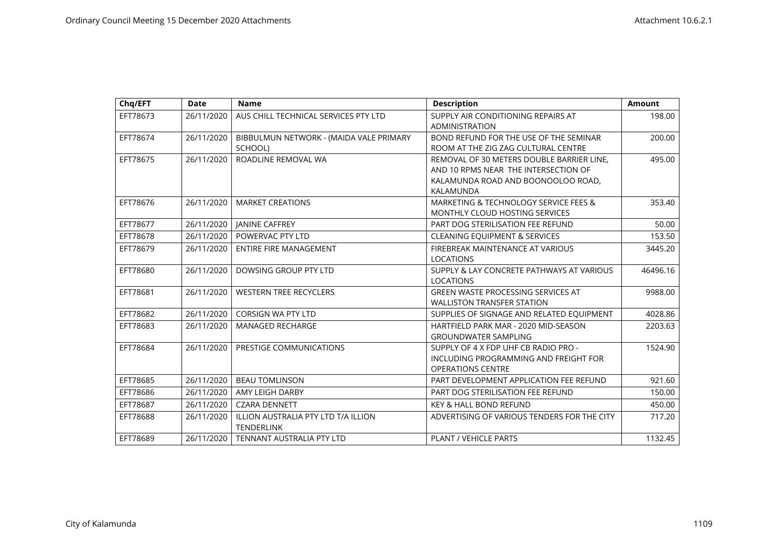| Chq/EFT  | <b>Date</b> | <b>Name</b>                                              | <b>Description</b>                                                                                                                   | <b>Amount</b> |
|----------|-------------|----------------------------------------------------------|--------------------------------------------------------------------------------------------------------------------------------------|---------------|
| EFT78673 | 26/11/2020  | AUS CHILL TECHNICAL SERVICES PTY LTD                     | SUPPLY AIR CONDITIONING REPAIRS AT<br><b>ADMINISTRATION</b>                                                                          | 198.00        |
| EFT78674 | 26/11/2020  | BIBBULMUN NETWORK - (MAIDA VALE PRIMARY<br>SCHOOL)       | BOND REFUND FOR THE USE OF THE SEMINAR<br>ROOM AT THE ZIG ZAG CULTURAL CENTRE                                                        | 200.00        |
| EFT78675 | 26/11/2020  | ROADLINE REMOVAL WA                                      | REMOVAL OF 30 METERS DOUBLE BARRIER LINE.<br>AND 10 RPMS NEAR THE INTERSECTION OF<br>KALAMUNDA ROAD AND BOONOOLOO ROAD,<br>KALAMUNDA | 495.00        |
| EFT78676 | 26/11/2020  | <b>MARKET CREATIONS</b>                                  | MARKETING & TECHNOLOGY SERVICE FEES &<br>MONTHLY CLOUD HOSTING SERVICES                                                              | 353.40        |
| EFT78677 | 26/11/2020  | <b>JANINE CAFFREY</b>                                    | PART DOG STERILISATION FEE REFUND                                                                                                    | 50.00         |
| EFT78678 | 26/11/2020  | POWERVAC PTY LTD                                         | <b>CLEANING EQUIPMENT &amp; SERVICES</b>                                                                                             | 153.50        |
| EFT78679 | 26/11/2020  | <b>ENTIRE FIRE MANAGEMENT</b>                            | FIREBREAK MAINTENANCE AT VARIOUS<br><b>LOCATIONS</b>                                                                                 | 3445.20       |
| EFT78680 | 26/11/2020  | DOWSING GROUP PTY LTD                                    | SUPPLY & LAY CONCRETE PATHWAYS AT VARIOUS<br><b>LOCATIONS</b>                                                                        | 46496.16      |
| EFT78681 | 26/11/2020  | <b>WESTERN TREE RECYCLERS</b>                            | <b>GREEN WASTE PROCESSING SERVICES AT</b><br><b>WALLISTON TRANSFER STATION</b>                                                       | 9988.00       |
| EFT78682 | 26/11/2020  | <b>CORSIGN WA PTY LTD</b>                                | SUPPLIES OF SIGNAGE AND RELATED EQUIPMENT                                                                                            | 4028.86       |
| EFT78683 | 26/11/2020  | <b>MANAGED RECHARGE</b>                                  | HARTFIELD PARK MAR - 2020 MID-SEASON<br><b>GROUNDWATER SAMPLING</b>                                                                  | 2203.63       |
| EFT78684 | 26/11/2020  | PRESTIGE COMMUNICATIONS                                  | SUPPLY OF 4 X FDP UHF CB RADIO PRO -<br>INCLUDING PROGRAMMING AND FREIGHT FOR<br><b>OPERATIONS CENTRE</b>                            | 1524.90       |
| EFT78685 | 26/11/2020  | <b>BEAU TOMLINSON</b>                                    | PART DEVELOPMENT APPLICATION FEE REFUND                                                                                              | 921.60        |
| EFT78686 | 26/11/2020  | AMY LEIGH DARBY                                          | PART DOG STERILISATION FEE REFUND                                                                                                    | 150.00        |
| EFT78687 | 26/11/2020  | <b>CZARA DENNETT</b>                                     | <b>KEY &amp; HALL BOND REFUND</b>                                                                                                    | 450.00        |
| EFT78688 | 26/11/2020  | ILLION AUSTRALIA PTY LTD T/A ILLION<br><b>TENDERLINK</b> | ADVERTISING OF VARIOUS TENDERS FOR THE CITY                                                                                          | 717.20        |
| EFT78689 | 26/11/2020  | TENNANT AUSTRALIA PTY LTD                                | <b>PLANT / VEHICLE PARTS</b>                                                                                                         | 1132.45       |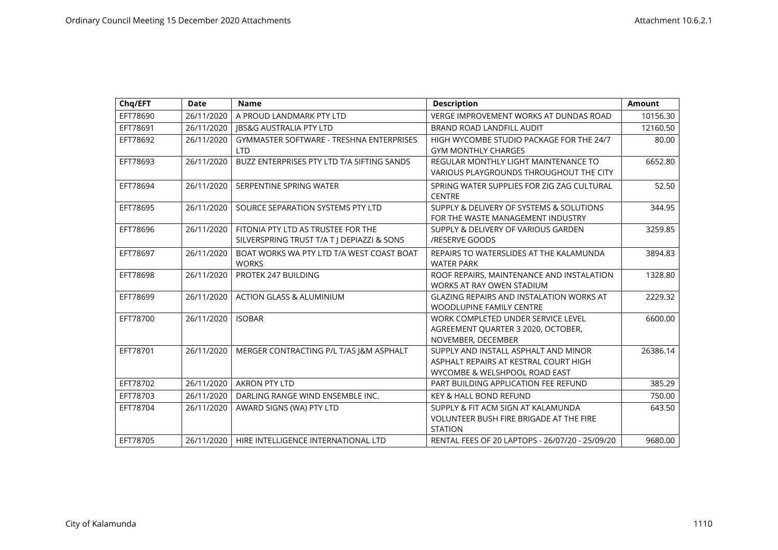| Chq/EFT  | Date       | <b>Name</b>                                     | <b>Description</b>                              | <b>Amount</b> |
|----------|------------|-------------------------------------------------|-------------------------------------------------|---------------|
| EFT78690 | 26/11/2020 | A PROUD LANDMARK PTY LTD                        | <b>VERGE IMPROVEMENT WORKS AT DUNDAS ROAD</b>   | 10156.30      |
| EFT78691 | 26/11/2020 | <b>IBS&amp;G AUSTRALIA PTY LTD</b>              | BRAND ROAD LANDFILL AUDIT                       | 12160.50      |
| EFT78692 | 26/11/2020 | <b>GYMMASTER SOFTWARE - TRESHNA ENTERPRISES</b> | HIGH WYCOMBE STUDIO PACKAGE FOR THE 24/7        | 80.00         |
|          |            | <b>LTD</b>                                      | <b>GYM MONTHLY CHARGES</b>                      |               |
| EFT78693 | 26/11/2020 | BUZZ ENTERPRISES PTY LTD T/A SIFTING SANDS      | REGULAR MONTHLY LIGHT MAINTENANCE TO            | 6652.80       |
|          |            |                                                 | VARIOUS PLAYGROUNDS THROUGHOUT THE CITY         |               |
| EFT78694 | 26/11/2020 | SERPENTINE SPRING WATER                         | SPRING WATER SUPPLIES FOR ZIG ZAG CULTURAL      | 52.50         |
|          |            |                                                 | <b>CENTRE</b>                                   |               |
| EFT78695 | 26/11/2020 | SOURCE SEPARATION SYSTEMS PTY LTD               | SUPPLY & DELIVERY OF SYSTEMS & SOLUTIONS        | 344.95        |
|          |            |                                                 | FOR THE WASTE MANAGEMENT INDUSTRY               |               |
| EFT78696 | 26/11/2020 | FITONIA PTY LTD AS TRUSTEE FOR THE              | SUPPLY & DELIVERY OF VARIOUS GARDEN             | 3259.85       |
|          |            | SILVERSPRING TRUST T/A T   DEPIAZZI & SONS      | /RESERVE GOODS                                  |               |
| EFT78697 | 26/11/2020 | BOAT WORKS WA PTY LTD T/A WEST COAST BOAT       | REPAIRS TO WATERSLIDES AT THE KALAMUNDA         | 3894.83       |
|          |            | <b>WORKS</b>                                    | <b>WATER PARK</b>                               |               |
| EFT78698 | 26/11/2020 | PROTEK 247 BUILDING                             | ROOF REPAIRS, MAINTENANCE AND INSTALATION       | 1328.80       |
|          |            |                                                 | WORKS AT RAY OWEN STADIUM                       |               |
| EFT78699 | 26/11/2020 | <b>ACTION GLASS &amp; ALUMINIUM</b>             | <b>GLAZING REPAIRS AND INSTALATION WORKS AT</b> | 2229.32       |
|          |            |                                                 | <b>WOODLUPINE FAMILY CENTRE</b>                 |               |
| EFT78700 | 26/11/2020 | <b>ISOBAR</b>                                   | WORK COMPLETED UNDER SERVICE LEVEL              | 6600.00       |
|          |            |                                                 | AGREEMENT QUARTER 3 2020, OCTOBER,              |               |
|          |            |                                                 | NOVEMBER, DECEMBER                              |               |
| EFT78701 | 26/11/2020 | MERGER CONTRACTING P/L T/AS J&M ASPHALT         | SUPPLY AND INSTALL ASPHALT AND MINOR            | 26386.14      |
|          |            |                                                 | ASPHALT REPAIRS AT KESTRAL COURT HIGH           |               |
|          |            |                                                 | WYCOMBE & WELSHPOOL ROAD EAST                   |               |
| EFT78702 | 26/11/2020 | <b>AKRON PTY LTD</b>                            | PART BUILDING APPLICATION FEE REFUND            | 385.29        |
| EFT78703 | 26/11/2020 | DARLING RANGE WIND ENSEMBLE INC.                | <b>KEY &amp; HALL BOND REFUND</b>               | 750.00        |
| EFT78704 | 26/11/2020 | AWARD SIGNS (WA) PTY LTD                        | SUPPLY & FIT ACM SIGN AT KALAMUNDA              | 643.50        |
|          |            |                                                 | <b>VOLUNTEER BUSH FIRE BRIGADE AT THE FIRE</b>  |               |
|          |            |                                                 | <b>STATION</b>                                  |               |
| EFT78705 | 26/11/2020 | HIRE INTELLIGENCE INTERNATIONAL LTD             | RENTAL FEES OF 20 LAPTOPS - 26/07/20 - 25/09/20 | 9680.00       |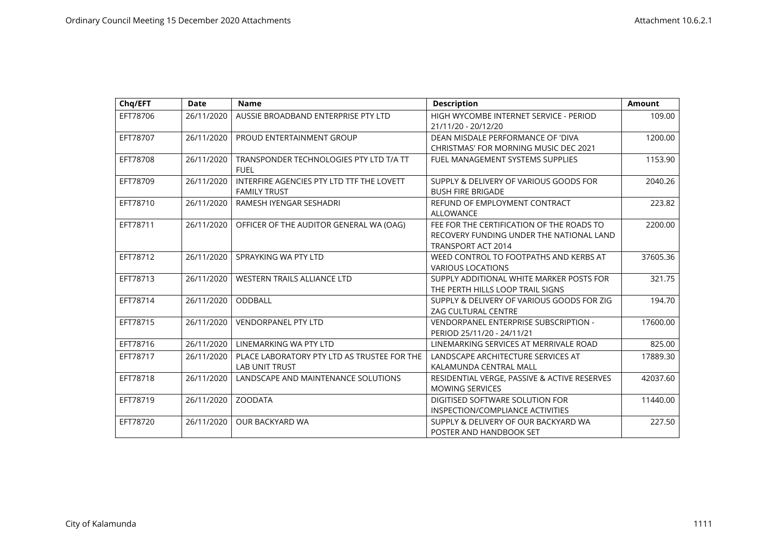| Chq/EFT  | <b>Date</b> | <b>Name</b>                                 | <b>Description</b>                           | <b>Amount</b> |
|----------|-------------|---------------------------------------------|----------------------------------------------|---------------|
| EFT78706 | 26/11/2020  | AUSSIE BROADBAND ENTERPRISE PTY LTD         | HIGH WYCOMBE INTERNET SERVICE - PERIOD       | 109.00        |
|          |             |                                             | 21/11/20 - 20/12/20                          |               |
| EFT78707 | 26/11/2020  | PROUD ENTERTAINMENT GROUP                   | DEAN MISDALE PERFORMANCE OF 'DIVA            | 1200.00       |
|          |             |                                             | <b>CHRISTMAS' FOR MORNING MUSIC DEC 2021</b> |               |
| EFT78708 | 26/11/2020  | TRANSPONDER TECHNOLOGIES PTY LTD T/A TT     | FUEL MANAGEMENT SYSTEMS SUPPLIES             | 1153.90       |
|          |             | <b>FUEL</b>                                 |                                              |               |
| EFT78709 | 26/11/2020  | INTERFIRE AGENCIES PTY LTD TTF THE LOVETT   | SUPPLY & DELIVERY OF VARIOUS GOODS FOR       | 2040.26       |
|          |             | <b>FAMILY TRUST</b>                         | <b>BUSH FIRE BRIGADE</b>                     |               |
| EFT78710 | 26/11/2020  | RAMESH IYENGAR SESHADRI                     | REFUND OF EMPLOYMENT CONTRACT                | 223.82        |
|          |             |                                             | <b>ALLOWANCE</b>                             |               |
| EFT78711 | 26/11/2020  | OFFICER OF THE AUDITOR GENERAL WA (OAG)     | FEE FOR THE CERTIFICATION OF THE ROADS TO    | 2200.00       |
|          |             |                                             | RECOVERY FUNDING UNDER THE NATIONAL LAND     |               |
|          |             |                                             | TRANSPORT ACT 2014                           |               |
| EFT78712 | 26/11/2020  | SPRAYKING WA PTY LTD                        | WEED CONTROL TO FOOTPATHS AND KERBS AT       | 37605.36      |
|          |             |                                             | <b>VARIOUS LOCATIONS</b>                     |               |
| EFT78713 | 26/11/2020  | <b>WESTERN TRAILS ALLIANCE LTD</b>          | SUPPLY ADDITIONAL WHITE MARKER POSTS FOR     | 321.75        |
|          |             |                                             | THE PERTH HILLS LOOP TRAIL SIGNS             |               |
| EFT78714 | 26/11/2020  | <b>ODDBALL</b>                              | SUPPLY & DELIVERY OF VARIOUS GOODS FOR ZIG   | 194.70        |
|          |             |                                             | <b>ZAG CULTURAL CENTRE</b>                   |               |
| EFT78715 | 26/11/2020  | <b>VENDORPANEL PTY LTD</b>                  | VENDORPANEL ENTERPRISE SUBSCRIPTION -        | 17600.00      |
|          |             |                                             | PERIOD 25/11/20 - 24/11/21                   |               |
| EFT78716 | 26/11/2020  | LINEMARKING WA PTY LTD                      | LINEMARKING SERVICES AT MERRIVALE ROAD       | 825.00        |
| EFT78717 | 26/11/2020  | PLACE LABORATORY PTY LTD AS TRUSTEE FOR THE | LANDSCAPE ARCHITECTURE SERVICES AT           | 17889.30      |
|          |             | <b>LAB UNIT TRUST</b>                       | KALAMUNDA CENTRAL MALL                       |               |
| EFT78718 | 26/11/2020  | LANDSCAPE AND MAINTENANCE SOLUTIONS         | RESIDENTIAL VERGE, PASSIVE & ACTIVE RESERVES | 42037.60      |
|          |             |                                             | <b>MOWING SERVICES</b>                       |               |
| EFT78719 | 26/11/2020  | <b>ZOODATA</b>                              | DIGITISED SOFTWARE SOLUTION FOR              | 11440.00      |
|          |             |                                             | <b>INSPECTION/COMPLIANCE ACTIVITIES</b>      |               |
| EFT78720 | 26/11/2020  | OUR BACKYARD WA                             | SUPPLY & DELIVERY OF OUR BACKYARD WA         | 227.50        |
|          |             |                                             | POSTER AND HANDBOOK SET                      |               |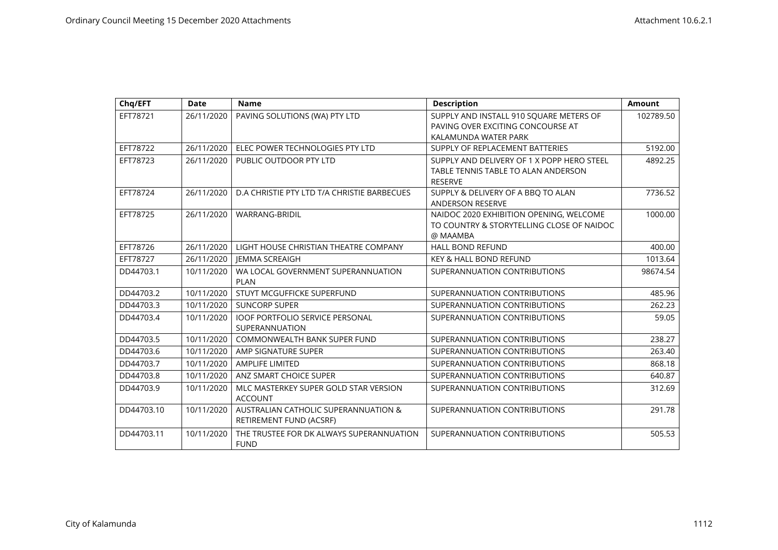| Chq/EFT    | <b>Date</b> | <b>Name</b>                                                     | <b>Description</b>                                                                                  | <b>Amount</b> |
|------------|-------------|-----------------------------------------------------------------|-----------------------------------------------------------------------------------------------------|---------------|
| EFT78721   | 26/11/2020  | PAVING SOLUTIONS (WA) PTY LTD                                   | SUPPLY AND INSTALL 910 SQUARE METERS OF<br>PAVING OVER EXCITING CONCOURSE AT                        | 102789.50     |
|            |             |                                                                 | KALAMUNDA WATER PARK                                                                                |               |
| EFT78722   | 26/11/2020  | ELEC POWER TECHNOLOGIES PTY LTD                                 | SUPPLY OF REPLACEMENT BATTERIES                                                                     | 5192.00       |
| EFT78723   | 26/11/2020  | PUBLIC OUTDOOR PTY LTD                                          | SUPPLY AND DELIVERY OF 1 X POPP HERO STEEL<br>TABLE TENNIS TABLE TO ALAN ANDERSON<br><b>RESERVE</b> | 4892.25       |
| EFT78724   | 26/11/2020  | D.A CHRISTIE PTY LTD T/A CHRISTIE BARBECUES                     | SUPPLY & DELIVERY OF A BBQ TO ALAN<br><b>ANDERSON RESERVE</b>                                       | 7736.52       |
| EFT78725   | 26/11/2020  | <b>WARRANG-BRIDIL</b>                                           | NAIDOC 2020 EXHIBITION OPENING, WELCOME<br>TO COUNTRY & STORYTELLING CLOSE OF NAIDOC<br>@ MAAMBA    | 1000.00       |
| EFT78726   | 26/11/2020  | LIGHT HOUSE CHRISTIAN THEATRE COMPANY                           | <b>HALL BOND REFUND</b>                                                                             | 400.00        |
| EFT78727   | 26/11/2020  | <b>IEMMA SCREAIGH</b>                                           | <b>KEY &amp; HALL BOND REFUND</b>                                                                   | 1013.64       |
| DD44703.1  | 10/11/2020  | WA LOCAL GOVERNMENT SUPERANNUATION<br><b>PLAN</b>               | SUPERANNUATION CONTRIBUTIONS                                                                        | 98674.54      |
| DD44703.2  | 10/11/2020  | STUYT MCGUFFICKE SUPERFUND                                      | SUPERANNUATION CONTRIBUTIONS                                                                        | 485.96        |
| DD44703.3  | 10/11/2020  | <b>SUNCORP SUPER</b>                                            | SUPERANNUATION CONTRIBUTIONS                                                                        | 262.23        |
| DD44703.4  | 10/11/2020  | <b>IOOF PORTFOLIO SERVICE PERSONAL</b><br>SUPERANNUATION        | SUPERANNUATION CONTRIBUTIONS                                                                        | 59.05         |
| DD44703.5  | 10/11/2020  | COMMONWEALTH BANK SUPER FUND                                    | SUPERANNUATION CONTRIBUTIONS                                                                        | 238.27        |
| DD44703.6  | 10/11/2020  | AMP SIGNATURE SUPER                                             | SUPERANNUATION CONTRIBUTIONS                                                                        | 263.40        |
| DD44703.7  | 10/11/2020  | <b>AMPLIFE LIMITED</b>                                          | SUPERANNUATION CONTRIBUTIONS                                                                        | 868.18        |
| DD44703.8  | 10/11/2020  | ANZ SMART CHOICE SUPER                                          | SUPERANNUATION CONTRIBUTIONS                                                                        | 640.87        |
| DD44703.9  | 10/11/2020  | MLC MASTERKEY SUPER GOLD STAR VERSION<br><b>ACCOUNT</b>         | SUPERANNUATION CONTRIBUTIONS                                                                        | 312.69        |
| DD44703.10 | 10/11/2020  | AUSTRALIAN CATHOLIC SUPERANNUATION &<br>RETIREMENT FUND (ACSRF) | SUPERANNUATION CONTRIBUTIONS                                                                        | 291.78        |
| DD44703.11 | 10/11/2020  | THE TRUSTEE FOR DK ALWAYS SUPERANNUATION<br><b>FUND</b>         | SUPERANNUATION CONTRIBUTIONS                                                                        | 505.53        |